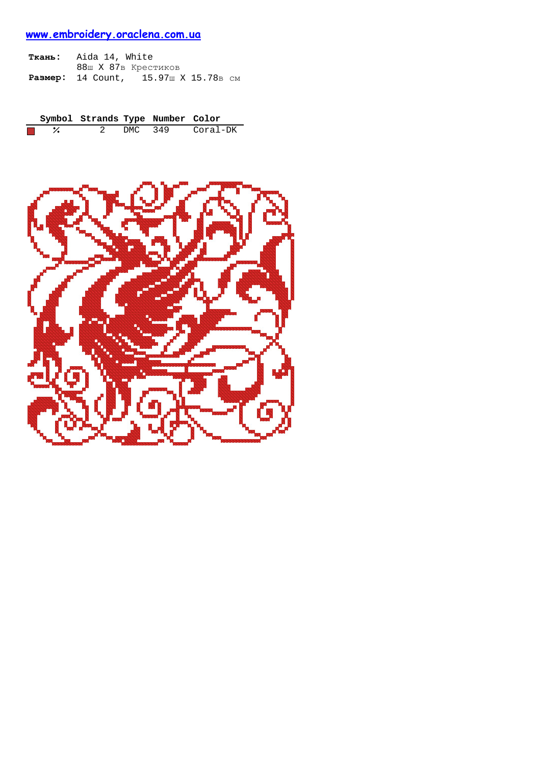## **[www.embroidery.oraclena.com.ua](http://www.embroidery.oraclena.com.ua/)**

| Ткань: | Aida 14, White                              |
|--------|---------------------------------------------|
|        | 88ш Х 87в Крестиков                         |
|        | <b>Pasmep:</b> 14 Count, 15.97m X 15.78B CM |

|                | Symbol Strands Type Number Color |         |          |
|----------------|----------------------------------|---------|----------|
| $\blacksquare$ |                                  | DMC 349 | Coral-DK |

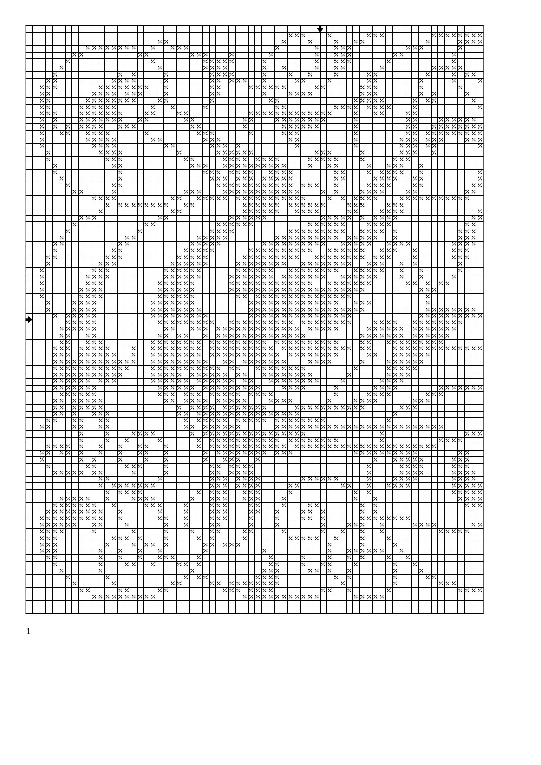| 22.22<br>$\times$ $\times$ $\times$<br>٪<br>2222222222<br>$x \times x$<br>$\varkappa$ %<br>١×.<br>١×.<br>$\mathcal{V}$<br>$\times$ $\times$<br>$ \varkappa $<br>$\times$ $\times$ $\times$ $\times$ $\times$ $\times$ $\times$<br>$\overline{\mathscr{C}}$<br>7.7.7<br>$\overline{\varkappa}$<br>z.<br>7.7.7<br>$\frac{1}{2}$ % %<br>l%<br>Y.<br>7.7.7<br>$\times$ $\times$<br>$\times$ $\times$<br>$\left  \varkappa \right $<br>$\mathcal{C} \times \mathcal{C}$<br> ※ ※ ※<br>١%<br>٧.<br>$\mathcal{\mathscr{C}}$<br>$ \times  \times  \times$<br>×!<br>ΙX.<br>×.<br>$ {\times} {\times} {\times} {\times} {\times}$<br>×,<br>١%<br>l×<br>z.<br>$ \times  \times  $<br>$\times$ $\times$ $\times$<br>$\times$ $\times$ $\times$ $\times$<br>Ι×.<br>٪<br>7.7.7.7<br>z.<br>Ι×.<br>$ \varkappa $<br>$ \varkappa $<br>$\varkappa$ %<br>$ \times $ %<br>$\boldsymbol{\mathsf{z}}$<br>١%<br>٧.<br>%<br>I۷.<br>$\boldsymbol{\mathsf{z}}$<br>$x \times x$<br>$\mathbb{Z}$ %<br>$\overline{\mathbb{Z}}$<br>⊠<br>$\mathcal{Z}$ %<br>Ι×.<br>$\frac{1}{2}$ $\frac{1}{2}$ $\frac{1}{2}$ $\frac{1}{2}$ $\frac{1}{2}$ $\frac{1}{2}$ $\frac{1}{2}$ $\frac{1}{2}$ $\frac{1}{2}$ $\frac{1}{2}$ $\frac{1}{2}$ $\frac{1}{2}$ $\frac{1}{2}$ $\frac{1}{2}$ $\frac{1}{2}$ $\frac{1}{2}$ $\frac{1}{2}$ $\frac{1}{2}$ $\frac{1}{2}$ $\frac{1}{2}$ $\frac{1}{2}$ $\frac{1}{2}$<br>l%<br>$\times$ %<br>$\vert$ % $\vert$<br>$\overline{\mathscr{C}}$<br>Ι×.<br>7.7<br>$\overline{\varkappa\varkappa\varkappa}$<br>XXXXXXX<br>z<br>$X$ $X$ $X$ $X$ $X$<br>7.7.7<br>×<br>$\times$ $\times$<br>Ιy.<br>$\mathbb{Z} \times \mathbb{Z}$<br>$\times$ $\times$ $\times$<br>$\times$ $\times$ $\times$<br>Y.<br>$\mathcal{C} \times \mathcal{C}$<br>Y.<br>22.7<br>٪<br>メメメス<br>١×,<br>٧.<br>$\overline{\mathcal{Z}}$<br>XXZZZZZ<br>$\varkappa$ %<br>2.7<br>ly.<br>$x \times x \times x$<br>$\varkappa$ %<br>٪<br>۰.<br>22222222<br>$\times$ $\times$ $\times$ $\times$<br>z.<br>$\times$ %<br>$\frac{1}{2}$<br>$\times\times\times\times$<br>$\times$<br>۰z<br>١%<br>XXXXXX<br>Y.<br>$\overline{\mathscr{C}}$<br>7.7.7<br>$\varkappa$ %<br>$\times$ %<br>$\times$ %<br>$x \times x \times x$<br>$\times$ %<br>$\times$ %<br>$X$ $X$ $X$ $X$ $X$ $X$ $X$<br>×<br>2.7<br>×.<br>$\times$ $\times$<br>$\times$ %<br>$X$ $X$ $X$ $X$ $X$<br>٧.<br>$ \varkappa $<br>$\frac{1}{2}$<br>$ \mathcal{X} \mathcal{Y} $<br>7.7<br>$\frac{1}{2}$<br>$\mathcal{V}$<br>$\times$ $\times$ $\times$ $\times$<br>×,<br>$\mathbb{Z}$ %<br> ※ ※ ※ ※ ※ ※ ※<br>١%<br>7.7.<br>$\overline{\mathbb{Z}}$<br>$z\overline{z}$<br>$\overline{\mathbf{z}}$<br>$\overline{\mathscr{C}}$<br>$X$ $X$ $X$ $X$ $X$ $X$ $X$ $X$<br>$x \times x$<br>7.7.7<br>$\frac{1}{2}$<br>$\boldsymbol{\mathsf{z}}$<br>$\frac{1}{2}$<br>$\varkappa$ %<br>$ x $ $\mathsf{x}$ $\mathsf{x}$<br>$x \times x$<br>$ {\boldsymbol{\mathsf{X}}} {\boldsymbol{\mathsf{X}}} {\boldsymbol{\mathsf{X}}} {\boldsymbol{\mathsf{X}}} {\boldsymbol{\mathsf{X}}}$<br>$\times$ $\times$<br>×.<br>$\times$ $\times$ $\times$<br>$\times$ $\times$ $\times$ $\times$<br>$\mathbb{Z}$ %<br>l%<br>$\frac{1}{2}$<br>$\overline{\mathbb{X}}$<br>ly.<br>$ \mathcal{C} $ %<br>$\mathcal{V}$<br>٪<br>١y.<br>$x \times x \times x$<br>$\times$ $\times$ $\times$<br>l%<br> メ メ メ メ<br>۰.<br>$\boldsymbol{\mathsf{z}}$<br>Ιy.<br>٪<br>$\times$ $\times$ $\times$<br>١×.<br>$\times$ $\times$ $\times$<br>$\times$ $\times$ $\times$ $\times$<br>$ {\bf 7} {\bf 7} {\bf 7} {\bf 7} {\bf 7} $<br>١×.<br>$ \mathcal{C}  \mathcal{C}  \mathcal{C}$<br>$ \mathcal{C}  \mathcal{C} $<br>$ \times  \times   \times  \times$<br>$\overline{\varkappa\varkappa}$<br>7.7.7<br>$\frac{1}{12}$<br>$\vert$ % $\vert$<br><b>×××××××××××</b><br>V.<br>7.77<br>٪<br>١×<br>$\vert\% \vert$<br>l%<br>7.77.7<br>$\mathcal{Z} \times \mathcal{Z}$<br>$\overline{\mathbb{X}}$<br>l%<br>×<br>$\overline{\mathscr{C}}$<br>$\times$ $\times$ $\times$<br>Ι×.<br>$ {\boldsymbol{\mathsf{X}}} {\boldsymbol{\mathsf{X}}} {\boldsymbol{\mathsf{X}}} {\boldsymbol{\mathsf{X}}}$<br>$\frac{1}{2}$ % % %<br>Y.<br>$\frac{1}{2}$ % % %<br> x z z z z<br>$\overline{\mathbf{X}}$<br>7.77<br>$\mathbb{Z}$ %<br>Y.<br>$\mathcal{V}$<br>$\overline{\mathcal{Z}}$<br>$\times$ $\times$<br>$\overline{\mathbf{z}}$<br> z z z z z z z z z z <br>$\boldsymbol{\mathsf{z}}$<br>×,<br>$\times$ $\times$ $\times$ $\times$<br>$\times$ $\times$<br>$\times$<br>$\times$<br>$\times$ $\times$ $\times$<br>7.7<br>Ι×.<br>۰.<br>$x \times x \times x$<br>$\varkappa$ %<br>$ \times  \times   \times  \times$<br>؉<br>$\times$ %<br>$ \mathcal{U}  \mathcal{U}  \mathcal{U}$<br>×,<br>×.<br>١×.<br>$\times$ %<br>$\boldsymbol{\mathcal{V}}$<br>١×.<br>$\times$ $\times$ $\times$ $\times$<br><b>xxxxxxxxxxxx</b><br>$\times$ $\times$ $\times$<br>7.7<br>$\times$ $\times$ $\times$ $\times$<br>$\varkappa$ $\mid$<br>$\boldsymbol{\varkappa}$<br>$\overline{\mathscr{C}}$<br>$x$ $x$ $x$ $x$ $x$<br>$X$ $X$ $X$ $X$ $X$ $X$<br>7.77<br> X Z Z Z Z Z Z Z Z<br> z <br>$ \times  \times   \times $<br>$X$ $X$ $X$ $X$ $X$<br>$\times$ $\times$ $\times$ $\times$<br>l%<br>$\mathcal{V}$<br> x z z z<br>I۷.<br>$\times$ %<br>×,<br>$\frac{1}{12}$<br>$\times$ X X<br>$\times$ %<br>$x \times x \times x$<br>$\times$ $\times$ $\times$<br>$ {\cal X} {\cal X} {\cal X} {\cal X}$<br>ΙX.<br>$ x  \overline{x}   \overline{x}   \overline{x}   \overline{x} $<br>$x \times x \times x$<br>$\times$ $\times$ $\times$ $\times$<br>$\times$ $\times$<br>١%<br>$\times$ %<br>$x \times x$<br>z<br>$\times$ % %<br>$\overline{\mathbf{z}}$<br>$\times$ $\times$ $\times$<br>١×.<br>$ x  \overline{x}   \overline{x}   \overline{x}$<br>$x \times x$<br>×<br>Ι×.<br>$\times$ % %<br>$ \mathcal{U} $ %<br>$\times$ $\times$<br>$\boldsymbol{\mathcal{V}}$<br>$\times$ $\times$ $\times$<br>$\varkappa$ %<br>2.7<br>$x \times x \times x$<br>$\times$ $\times$ $\times$ $\times$<br>$X$ $X$ $X$ $X$ $X$ $X$<br>$x \times x \times x$<br>$\times$ $\times$ $\times$ $\times$<br>$\times$ $\times$<br>$\boldsymbol{\varkappa}$<br>$ {\boldsymbol{\mathsf{X}}} {\boldsymbol{\mathsf{X}}} {\boldsymbol{\mathsf{X}}} {\boldsymbol{\mathsf{X}}} {\boldsymbol{\mathsf{X}}}$<br>$\times$ $\times$ $\times$ $\times$ $\times$<br>$\times$ $\times$ $\times$<br>$\times$ $\times$ $\times$ $\times$ $\times$<br>$\times$ $\times$ $\times$<br>$ \mathcal{X}  \mathcal{Y}  \mathcal{Y}$<br>$\times$ $\times$ $\times$<br>$x \times x \times x$<br>؉<br>$\times$ $\times$ $\times$<br>$\times$ $\times$<br><b>xxxxxx</b><br>$\times$ $\times$<br>$\varkappa$ $\varkappa$<br>$\times$ $\times$ $\times$ $\times$ $\times$<br>22.22<br>$\overline{\varkappa}$<br>xxxx<br>xxxxxx<br>∵<br>ĪΧ<br>$\times$ $\times$ $\times$<br>$\mathcal{H} \mathcal{H} \mathcal{H}$<br>$\boldsymbol{\mathsf{z}}$<br>x x x x x x<br>$x \times x$<br>$\mathcal{V}$<br>$x \times x \times x$<br>22222222<br>7.7<br>$\overline{\mathscr{C}}$<br>Ι×.<br>$\times$ $\times$ $\times$<br>٪<br>$\times$ $\times$ $\times$ $\times$<br>222222<br>22222222<br>2222222<br>$x \times x \times x$<br>×<br>×.<br>۰⁄<br>$\boldsymbol{\mathsf{z}}$<br>$\vert\% \vert$<br>$\frac{1}{2}$<br> x z z z z z<br> ※ ※ ※ ※ ※ ※ ※ ※ ※ ※ ※ ※ <br>$\times$ $\times$<br>$\times$ $\times$<br>×.<br>22.22<br> x z z z z z <br>2222222222<br><b>× × × × × × × × × × × × × ×</b><br>$\times$ $\times$ $\times$<br>x[xx]<br>x[xx]<br> * * * * * * * * * * * * * *<br>l%<br>$\times$ $\times$<br>$x \times x$<br>$x \times x \times x \times x$<br>$x \times x$<br>$\times$ $\times$ $\times$ $\times$ $\times$ $\times$ $\times$ $\times$<br>$\overline{\mathscr{C}}$<br>$\times$ $\times$ $\times$<br>٪<br>$\mathbb{Z}\mathbb{Z}$<br>22222<br>$\overline{\mathscr{C}}$<br><b>× × × × × × × × × × × × × × × ×</b><br>۰⁄<br>$\boldsymbol{\varkappa}$<br>$22 \times 2$<br>$22 \times 22$<br>$\times$ $\times$ $\times$ $\times$ $\times$ $\times$ $\times$<br>$x \times x \times x$<br><b>xxxxxxxxxxxxx</b><br><b>× × × × × × × × × × ×</b><br>※※※※※※※※※<br>$\times$ $\times$ $\times$ $\times$<br>$\boldsymbol{\varkappa}$<br>$x \times x \times x$<br>XXZZZZ<br><b>××××××××××</b><br>$\mathbb{Z}$<br>222222222<br> x z z z z z z z z <br>メメメス<br>؉<br>222222<br>7.7.7<br><b>xxxxxxxxxxxxx</b><br>2222<br>$\times$ %<br> X Z Z Z Z Z<br>١×.<br>$\times$ $\times$<br>Y.<br>$\vert\% \vert$<br>$\times$ $\times$ $\times$<br>$22 \times 22 \times 22$<br>$\times$ %<br>$\times$ $\times$ $\times$<br>$\frac{1}{2}$<br>$\times$ $\times$ $\times$ $\times$<br>2222222<br>$\times$ %<br>$\mathcal{V}$<br>$\times$ %<br>$\frac{1}{2}$ % $\frac{1}{2}$ %<br>$\times$ $\times$ $\times$<br>$\times$ %<br><b>× × × × × × × × ×</b><br>$\times$ %<br>$ \mathcal{U} $ %<br>$\frac{1}{2}$<br>$\mathbb{Z}$ %<br>$\times$ $\times$ $\times$<br>$\times$ $\times$ $\times$ $\times$<br>$\times$ $\times$ $\times$ $\times$<br> ※ ※ ※ ※ ※ ※ ※ ※<br>$\mathcal{V}$<br>※※※※※※※※※※<br>١%<br>٪<br>$\times$ $\times$ $\times$<br>$\times$ $\times$ $\times$ $\times$ $\times$<br> ※ ※ ※ ※ ※ ※ ※ ※ ※ ※<br><b>× × × × × × × × × ×</b><br>$\mathbb{Z}$ %<br>$ {\bf 2} \times {\bf 2}  \times  {\bf 2}  \times  {\bf 2} $<br>١×<br>メメメメ<br><b>xxxxxxxxxxxxxxx</b><br>$x \times$<br>$x \times x$<br>$\times$ $\times$ $\times$ $\times$ $\times$<br>$\times$ $\times$<br>$\boldsymbol{\mathsf{z}}$<br>$\times$ $\times$ $\times$ $\times$ $\times$<br>١×.<br><b>XXXXXXXXX</b><br>$x \times x$<br>$x \times x \times x$<br> X Z Z Z Z Z Z<br>$ \mathcal{C} $ %<br>$\times$ $\times$ $\times$<br>٧.<br>%<br>x[xx]x[x]x[x]<br>22222222<br> ※ ※ ※ ※ ※ ※ ※<br>$\times$ $\times$ $\times$<br>$\times$ $\times$ $\times$<br>$\times$ $\times$<br>۰z<br>x[xx]<br> x z z z z z <br> z z z z z z z z<br>$x \times x$<br>$\frac{1}{2}$<br>$\boldsymbol{\varkappa}$<br>$X$ $X$ $X$ $X$ $X$ $X$ $X$<br>22.22<br>$x \times x$<br>$\times$ $\times$ $\times$<br>7.77<br>$X$ $X$ $X$ $X$ $X$ $X$ $X$<br>١×.<br>7.777777<br>7.7.7.7.7<br>7.7.7<br>$\times$ $\times$ $\times$<br>7.7.7<br>$x \times x$<br>l%<br>$\times$ $\times$ $\times$ $\times$<br>$\times$ $\times$ $\times$ $\times$<br> X Z Z Z Z<br>7.7.77<br>$\times$ $\times$<br>$\times$ %<br>$\times$ $\times$ $\times$ $\times$<br>22.22<br>$\times$ $\times$ $\times$<br>%<br>$ {\boldsymbol{\mathsf{z}}} {\boldsymbol{\mathsf{z}}} {\boldsymbol{\mathsf{z}}} {\boldsymbol{\mathsf{z}}} {\boldsymbol{\mathsf{z}}} {\boldsymbol{\mathsf{z}}}$<br>$\times$ $\times$ $\times$ $\times$ $\times$ $\times$<br> x z z z z z z z z z z z z<br>$\times$ $\times$ $\times$<br>$\times$ %<br>۰.<br>$\times$ $\times$ $\times$ $\times$<br>$\times$ $\times$<br>×<br>$ \mathcal{C} \mathcal{C} $ %<br>$\times$ %<br> ※ ※ ※ ※ ※ ※ ※ ※ ※ ※ ※ ※ ※<br>$\varkappa$ $\varkappa$<br>Ι×.<br> 2x 2x 2x<br>$\times$ $\times$<br>$\times$ $\times$<br> z <br>١×.<br> X Z Z Z Z Z <br>$\times$ $\times$ $\times$ $\times$ $\times$ $\times$ $\times$<br>$ \varkappa $<br>$\mathbb{K}\mathbb{K}$<br> z z   z   z   z   z   z   z <br>$\mathbb{K}$ %<br>$\mathbb{K}\mathbb{K}$<br>$ \times  \times  \times  \times $<br> X Z Z Z Z Z Z Z Z Z Z Z Z Z Z Z Z<br>$\times$ % %<br>٧.<br>٧.<br>$\boldsymbol{\mathsf{z}}$<br>٧.<br>$\boldsymbol{\mathcal{Z}}$<br>Ι×.<br>$ X \overline{Z} \overline{Z} \overline{Z} \overline{Z} \overline{Z} \overline{Z} \overline{Z} \overline{Z} \overline{Z} \overline{Z}$<br>$\boldsymbol{\varkappa}$<br>$\overline{\mathbb{X}}\mathbb{X}\mathbb{X}$<br>$\mathcal{V}$<br>$\boldsymbol{\mathcal{U}}$<br>$ \mathcal{V}_\bullet $<br>$\times$<br> x z z z<br>$ \mathcal{V}_\bullet $<br>$ \varkappa $<br>$  \times   \times   \times   \times   \times   \times   \times   \times   \times   \times$<br>$\times$ $\times$<br>١×.<br>$ \varkappa $<br>X<br>$\times$ %<br>$\mathbb{Z}$ %<br>$ \varkappa $<br>$\boldsymbol{\mathsf{z}}$<br>$\times$ %<br>Ι×.<br>$\times$ $\times$ $\times$ $\times$ $\times$ $\times$ $\times$<br>$\times\times\times$<br>$\times$ $\times$ $\times$ $\times$ $\times$ $\times$ $\times$ $\times$<br>$ \mathcal{C} $ %<br>$\mathcal{V}$<br>l%<br>$\overline{\mathscr{C}}$<br>$\overline{\mathscr{C}}$<br>ly.<br>$\times$<br>$\mathbb{K}\mathbb{K}\mathbb{K}$<br>$\overline{\mathscr{C}}$<br>$\overline{\mathbf{z}}$<br>$\times$ $\times$ $\times$ $\times$<br>$\times$ $\times$ $\times$<br>$\left  \mathbf{\times} \right $<br> z <br>z.<br>22.2<br>$\times$ %<br>$ \times  \times   \times   \times $<br>٪<br> メ メ メ メ<br>$\times$ $\times$ $\times$<br>۰.<br>$\times$ $\times$ $\times$<br>$ {\mathsf{X}} {\mathsf{X}} {\mathsf{X}} {\mathsf{X}} $<br>$ \times \times $<br>١%<br>١×.<br>$\times$ $\times$<br>$ \times  \times   \times   \times $<br>١×.<br> % % % %<br>7.77<br>z.<br>$\frac{1}{2}$ $\frac{1}{2}$ $\frac{1}{2}$ $\frac{1}{2}$ $\frac{1}{2}$ $\frac{1}{2}$ $\frac{1}{2}$ $\frac{1}{2}$ $\frac{1}{2}$ $\frac{1}{2}$ $\frac{1}{2}$ $\frac{1}{2}$ $\frac{1}{2}$ $\frac{1}{2}$ $\frac{1}{2}$ $\frac{1}{2}$ $\frac{1}{2}$ $\frac{1}{2}$ $\frac{1}{2}$ $\frac{1}{2}$ $\frac{1}{2}$ $\frac{1}{2}$<br>$\times$ $\times$ $\times$ $\times$<br>$\times$ $\times$ $\times$<br>$ \mathcal{C} $ %<br>l%l<br>$22 \times 21 \times 21 \times 21$<br>$\vert\mathbb{X}\vert$<br>$\frac{1}{2}$ % $\frac{1}{2}$ %<br>l%<br>22.22<br>$\times$ $\times$ $\times$ $\times$<br> ※ ※ ※ ※ ※ ※<br>$\times$ $\times$ $\times$ $\times$<br>$\times$ $\times$<br>$\times$ %<br>7.7.7<br>Y.<br>$\frac{1}{2}$ $\frac{1}{2}$ $\frac{1}{2}$ $\frac{1}{2}$ $\frac{1}{2}$ $\frac{1}{2}$ $\frac{1}{2}$ $\frac{1}{2}$ $\frac{1}{2}$ $\frac{1}{2}$ $\frac{1}{2}$ $\frac{1}{2}$ $\frac{1}{2}$ $\frac{1}{2}$ $\frac{1}{2}$ $\frac{1}{2}$ $\frac{1}{2}$ $\frac{1}{2}$ $\frac{1}{2}$ $\frac{1}{2}$ $\frac{1}{2}$ $\frac{1}{2}$<br>$\frac{1}{2}$<br>$\overline{\mathscr{C}}$<br>Ι×.<br>$\times$ $\times$ $\times$ $\times$<br>١×.<br>$\boldsymbol{\mathsf{z}}$<br>$\times$ $\times$ $\times$ $\times$<br>22.7<br>2222<br> X Z Z Z Z<br>$\boldsymbol{\mathsf{z}}$<br>۰⁄۰<br>$\frac{1}{2}$ % $\frac{1}{2}$ %<br>Y.<br>$\boldsymbol{\mathsf{z}}$<br>٪<br>$X$ $X$ $X$ $X$ $X$ $X$ $X$<br>$\overline{\mathscr{C}}$ $\mathscr{C}$<br>×<br>$\frac{1}{2}$ % %<br>$\mathcal{Z} \times \mathcal{Z}$<br>$\times$ $\times$<br>١×.<br>$\times$ $\times$<br>١×.<br>Y.<br>۱×.<br>1222222222<br>ly.<br>7.77<br>7.7.<br>7.7<br>Īγ.<br>∵<br>Y.<br>$\overline{\mathscr{C}}$<br>$\overline{\mathscr{C}}$<br>$\mathcal{V}$<br>XXXXXXXXXX<br>Y.<br>7.7.7<br>$\vert\% \vert$<br>×<br>Ιy.<br>×.<br>$\overline{\mathbb{Z}}\mathbb{Z}$<br>$\times$ $\times$<br>$x \times x \times x$<br>$\boldsymbol{\mathsf{z}}$<br>۰.<br>$\times$ %<br>١×.<br>Ι×.<br>١×.<br>$\mathcal{C} \times \mathcal{C}$<br>$\mathcal{V}$<br>$\times$ $\times$ $\times$<br>$\mathcal{V}$<br>$\times$ $\times$ $\times$<br>$\times$ %<br>$\times$ $\times$ $\times$ $\times$<br>$\times$<br>Y.<br>١×.<br>$22 \times 2 \times 2$ | 2.2 2.1 <br>7.77          | l×<br>Ι×.                          | ١×.<br>l%                                               |
|-------------------------------------------------------------------------------------------------------------------------------------------------------------------------------------------------------------------------------------------------------------------------------------------------------------------------------------------------------------------------------------------------------------------------------------------------------------------------------------------------------------------------------------------------------------------------------------------------------------------------------------------------------------------------------------------------------------------------------------------------------------------------------------------------------------------------------------------------------------------------------------------------------------------------------------------------------------------------------------------------------------------------------------------------------------------------------------------------------------------------------------------------------------------------------------------------------------------------------------------------------------------------------------------------------------------------------------------------------------------------------------------------------------------------------------------------------------------------------------------------------------------------------------------------------------------------------------------------------------------------------------------------------------------------------------------------------------------------------------------------------------------------------------------------------------------------------------------------------------------------------------------------------------------------------------------------------------------------------------------------------------------------------------------------------------------------------------------------------------------------------------------------------------------------------------------------------------------------------------------------------------------------------------------------------------------------------------------------------------------------------------------------------------------------------------------------------------------------------------------------------------------------------------------------------------------------------------------------------------------------------------------------------------------------------------------------------------------------------------------------------------------------------------------------------------------------------------------------------------------------------------------------------------------------------------------------------------------------------------------------------------------------------------------------------------------------------------------------------------------------------------------------------------------------------------------------------------------------------------------------------------------------------------------------------------------------------------------------------------------------------------------------------------------------------------------------------------------------------------------------------------------------------------------------------------------------------------------------------------------------------------------------------------------------------------------------------------------------------------------------------------------------------------------------------------------------------------------------------------------------------------------------------------------------------------------------------------------------------------------------------------------------------------------------------------------------------------------------------------------------------------------------------------------------------------------------------------------------------------------------------------------------------------------------------------------------------------------------------------------------------------------------------------------------------------------------------------------------------------------------------------------------------------------------------------------------------------------------------------------------------------------------------------------------------------------------------------------------------------------------------------------------------------------------------------------------------------------------------------------------------------------------------------------------------------------------------------------------------------------------------------------------------------------------------------------------------------------------------------------------------------------------------------------------------------------------------------------------------------------------------------------------------------------------------------------------------------------------------------------------------------------------------------------------------------------------------------------------------------------------------------------------------------------------------------------------------------------------------------------------------------------------------------------------------------------------------------------------------------------------------------------------------------------------------------------------------------------------------------------------------------------------------------------------------------------------------------------------------------------------------------------------------------------------------------------------------------------------------------------------------------------------------------------------------------------------------------------------------------------------------------------------------------------------------------------------------------------------------------------------------------------------------------------------------------------------------------------------------------------------------------------------------------------------------------------------------------------------------------------------------------------------------------------------------------------------------------------------------------------------------------------------------------------------------------------------------------------------------------------------------------------------------------------------------------------------------------------------------------------------------------------------------------------------------------------------------------------------------------------------------------------------------------------------------------------------------------------------------------------------------------------------------------------------------------------------------------------------------------------------------------------------------------------------------------------------------------------------------------------------------------------------------------------------------------------------------------------------------------------------------------------------------------------------------------------------------------------------------------------------------------------------------------------------------------------------------------------------------------------------------------------------------------------------------------------------------------------------------------------------------------------------------------------------------------------------------------------------------------------------------------------------------------------------------------------------------------------------------------------------------------------------------------------------------------------------------------------------------------------------------------------------------------------------------------------------------------------------------------------------------------------------------------------------------------------------------------------------------------------------------------------------------------------------------------------------------------------------------------------------------------------------------------------------------------------------------------------------------------------------------------------------------------------------------------------------------------------------------------------------------------------------------------------------------------------------------------------------------------------------------------------------------------------------------------------------------------------------------------------------------------------------------------------------------------------------------------------------------------------------------------------------------------------------------------------------------------------------------------------------------------------------------------------------------------------------------------------------------------------------------------------------------------------------------------------------------------------------------------------------------------------------------------------------------------------------------------------------------------------------------------------------------------------------------------------------------------------------------------------------------------------------------------------------------------------------------------------------------------------------------------------------------------------------------------------------------------------------------------------------------------------------------------------------------------------------------------------------------------------------------------------------------------------------------------------------------------------------------------------------------------------------------------------------------------------------------------------------------------------------------------------------------------------------------------------------------------------------------------------------------------------------------------------------------------------------------------------------------------------------------------------------------------------------------------------------------------------------------------------------------------------------------------------------------------------------------------------------------------------------------------------------------------------------------------------------------------------------------------------------------------------------------------------------------------------------------------------------------------------------------------------------------------------------------------------------------------------------------------------------------------------------------------------------------------------------------------------------------------------------------------------------------------------------------------------------------------------------------------------------------------------------------------------------------------------------------------------------------------------------------------------------------------------------------------------------------------------------------------------------------------------------------------------------------------------------------------------------------------------------------------------------------------------------------------------------------------------------------------------------------------------------------------------------------------------------------------------------------------------------------------------------------------------------------------------------------------------------------------------------------------------------------------------------------------------------------------------------------------------------------------------------------------------------------------------------------------------------------------------------------------------------------------------------------------------------------------------------------------------------------------------------------------------------------------------------------------------------------------------------------------------------------------------------------------------------------------------------------------------------------------------------------------------------------------------------------------------------------------------------------------------------------------------------------------------------------------------------------------------------------------------------------------------------------------------------------------------------------------------------------------------------------------------------------------------------------------------------------------------------------------------------------------------------------------------------------------------------------------------------------------------------------------------------------------------------------------------------------------------------------------------------------------------------------------------------------------------------------------------------------------------------------------------------------------------------------------------------------------------------------------------------------------------------------------------------------------------------------------------------------------------------------------------------------------------------------------------------------------------------------------------------------------------------------------------------------------------------------------------------------------------------------------------------------------------------------------------------------------------------------------------------------------------------------------------------------------------------------------------------------------------------------------------------------------------------------------------------------|---------------------------|------------------------------------|---------------------------------------------------------|
|                                                                                                                                                                                                                                                                                                                                                                                                                                                                                                                                                                                                                                                                                                                                                                                                                                                                                                                                                                                                                                                                                                                                                                                                                                                                                                                                                                                                                                                                                                                                                                                                                                                                                                                                                                                                                                                                                                                                                                                                                                                                                                                                                                                                                                                                                                                                                                                                                                                                                                                                                                                                                                                                                                                                                                                                                                                                                                                                                                                                                                                                                                                                                                                                                                                                                                                                                                                                                                                                                                                                                                                                                                                                                                                                                                                                                                                                                                                                                                                                                                                                                                                                                                                                                                                                                                                                                                                                                                                                                                                                                                                                                                                                                                                                                                                                                                                                                                                                                                                                                                                                                                                                                                                                                                                                                                                                                                                                                                                                                                                                                                                                                                                                                                                                                                                                                                                                                                                                                                                                                                                                                                                                                                                                                                                                                                                                                                                                                                                                                                                                                                                                                                                                                                                                                                                                                                                                                                                                                                                                                                                                                                                                                                                                                                                                                                                                                                                                                                                                                                                                                                                                                                                                                                                                                                                                                                                                                                                                                                                                                                                                                                                                                                                                                                                                                                                                                                                                                                                                                                                                                                                                                                                                                                                                                                                                                                                                                                                                                                                                                                                                                                                                                                                                                                                                                                                                                                                                                                                                                                                                                                                                                                                                                                                                                                                                                                                                                                                                                                                                                                                                                                                                                                                                                                                                                                                                                                                                                                                                                                                                                                                                                                                                                                                                                                                                                                                                                                                                                                                                                                                                                                                                                                                                                                                                                                                                                                                                                                                                                                                                                                                                                                                                                                                                                                                                                                                                                                                                                                                                                                                                                                                                                                                                                                                                                                                                                                                                                                                                                                                                                                                                                                                                                                                                                                                                                                                                                                                                                                                                                                                                                                                                                                                                                                                                                                                                                                                                                                                                                                                                                                                                                                                                                                                                                                                                                                                                                                                                                                                                                                                                                                                                                                                                                                                                                                                                                                                                                                                                                                                                                                                                                                                                                                                                                                                                                                                       | $\overline{\mathscr{C}}$  | ٧.<br>Y.<br>$\overline{\varkappa}$ | $\overline{\varkappa}$<br>l×<br>$\overline{\mathbf{z}}$ |
|                                                                                                                                                                                                                                                                                                                                                                                                                                                                                                                                                                                                                                                                                                                                                                                                                                                                                                                                                                                                                                                                                                                                                                                                                                                                                                                                                                                                                                                                                                                                                                                                                                                                                                                                                                                                                                                                                                                                                                                                                                                                                                                                                                                                                                                                                                                                                                                                                                                                                                                                                                                                                                                                                                                                                                                                                                                                                                                                                                                                                                                                                                                                                                                                                                                                                                                                                                                                                                                                                                                                                                                                                                                                                                                                                                                                                                                                                                                                                                                                                                                                                                                                                                                                                                                                                                                                                                                                                                                                                                                                                                                                                                                                                                                                                                                                                                                                                                                                                                                                                                                                                                                                                                                                                                                                                                                                                                                                                                                                                                                                                                                                                                                                                                                                                                                                                                                                                                                                                                                                                                                                                                                                                                                                                                                                                                                                                                                                                                                                                                                                                                                                                                                                                                                                                                                                                                                                                                                                                                                                                                                                                                                                                                                                                                                                                                                                                                                                                                                                                                                                                                                                                                                                                                                                                                                                                                                                                                                                                                                                                                                                                                                                                                                                                                                                                                                                                                                                                                                                                                                                                                                                                                                                                                                                                                                                                                                                                                                                                                                                                                                                                                                                                                                                                                                                                                                                                                                                                                                                                                                                                                                                                                                                                                                                                                                                                                                                                                                                                                                                                                                                                                                                                                                                                                                                                                                                                                                                                                                                                                                                                                                                                                                                                                                                                                                                                                                                                                                                                                                                                                                                                                                                                                                                                                                                                                                                                                                                                                                                                                                                                                                                                                                                                                                                                                                                                                                                                                                                                                                                                                                                                                                                                                                                                                                                                                                                                                                                                                                                                                                                                                                                                                                                                                                                                                                                                                                                                                                                                                                                                                                                                                                                                                                                                                                                                                                                                                                                                                                                                                                                                                                                                                                                                                                                                                                                                                                                                                                                                                                                                                                                                                                                                                                                                                                                                                                                                                                                                                                                                                                                                                                                                                                                                                                                                                                                                                                       |                           |                                    |                                                         |
|                                                                                                                                                                                                                                                                                                                                                                                                                                                                                                                                                                                                                                                                                                                                                                                                                                                                                                                                                                                                                                                                                                                                                                                                                                                                                                                                                                                                                                                                                                                                                                                                                                                                                                                                                                                                                                                                                                                                                                                                                                                                                                                                                                                                                                                                                                                                                                                                                                                                                                                                                                                                                                                                                                                                                                                                                                                                                                                                                                                                                                                                                                                                                                                                                                                                                                                                                                                                                                                                                                                                                                                                                                                                                                                                                                                                                                                                                                                                                                                                                                                                                                                                                                                                                                                                                                                                                                                                                                                                                                                                                                                                                                                                                                                                                                                                                                                                                                                                                                                                                                                                                                                                                                                                                                                                                                                                                                                                                                                                                                                                                                                                                                                                                                                                                                                                                                                                                                                                                                                                                                                                                                                                                                                                                                                                                                                                                                                                                                                                                                                                                                                                                                                                                                                                                                                                                                                                                                                                                                                                                                                                                                                                                                                                                                                                                                                                                                                                                                                                                                                                                                                                                                                                                                                                                                                                                                                                                                                                                                                                                                                                                                                                                                                                                                                                                                                                                                                                                                                                                                                                                                                                                                                                                                                                                                                                                                                                                                                                                                                                                                                                                                                                                                                                                                                                                                                                                                                                                                                                                                                                                                                                                                                                                                                                                                                                                                                                                                                                                                                                                                                                                                                                                                                                                                                                                                                                                                                                                                                                                                                                                                                                                                                                                                                                                                                                                                                                                                                                                                                                                                                                                                                                                                                                                                                                                                                                                                                                                                                                                                                                                                                                                                                                                                                                                                                                                                                                                                                                                                                                                                                                                                                                                                                                                                                                                                                                                                                                                                                                                                                                                                                                                                                                                                                                                                                                                                                                                                                                                                                                                                                                                                                                                                                                                                                                                                                                                                                                                                                                                                                                                                                                                                                                                                                                                                                                                                                                                                                                                                                                                                                                                                                                                                                                                                                                                                                                                                                                                                                                                                                                                                                                                                                                                                                                                                                                                                                       |                           |                                    |                                                         |
|                                                                                                                                                                                                                                                                                                                                                                                                                                                                                                                                                                                                                                                                                                                                                                                                                                                                                                                                                                                                                                                                                                                                                                                                                                                                                                                                                                                                                                                                                                                                                                                                                                                                                                                                                                                                                                                                                                                                                                                                                                                                                                                                                                                                                                                                                                                                                                                                                                                                                                                                                                                                                                                                                                                                                                                                                                                                                                                                                                                                                                                                                                                                                                                                                                                                                                                                                                                                                                                                                                                                                                                                                                                                                                                                                                                                                                                                                                                                                                                                                                                                                                                                                                                                                                                                                                                                                                                                                                                                                                                                                                                                                                                                                                                                                                                                                                                                                                                                                                                                                                                                                                                                                                                                                                                                                                                                                                                                                                                                                                                                                                                                                                                                                                                                                                                                                                                                                                                                                                                                                                                                                                                                                                                                                                                                                                                                                                                                                                                                                                                                                                                                                                                                                                                                                                                                                                                                                                                                                                                                                                                                                                                                                                                                                                                                                                                                                                                                                                                                                                                                                                                                                                                                                                                                                                                                                                                                                                                                                                                                                                                                                                                                                                                                                                                                                                                                                                                                                                                                                                                                                                                                                                                                                                                                                                                                                                                                                                                                                                                                                                                                                                                                                                                                                                                                                                                                                                                                                                                                                                                                                                                                                                                                                                                                                                                                                                                                                                                                                                                                                                                                                                                                                                                                                                                                                                                                                                                                                                                                                                                                                                                                                                                                                                                                                                                                                                                                                                                                                                                                                                                                                                                                                                                                                                                                                                                                                                                                                                                                                                                                                                                                                                                                                                                                                                                                                                                                                                                                                                                                                                                                                                                                                                                                                                                                                                                                                                                                                                                                                                                                                                                                                                                                                                                                                                                                                                                                                                                                                                                                                                                                                                                                                                                                                                                                                                                                                                                                                                                                                                                                                                                                                                                                                                                                                                                                                                                                                                                                                                                                                                                                                                                                                                                                                                                                                                                                                                                                                                                                                                                                                                                                                                                                                                                                                                                                                                                       |                           |                                    |                                                         |
|                                                                                                                                                                                                                                                                                                                                                                                                                                                                                                                                                                                                                                                                                                                                                                                                                                                                                                                                                                                                                                                                                                                                                                                                                                                                                                                                                                                                                                                                                                                                                                                                                                                                                                                                                                                                                                                                                                                                                                                                                                                                                                                                                                                                                                                                                                                                                                                                                                                                                                                                                                                                                                                                                                                                                                                                                                                                                                                                                                                                                                                                                                                                                                                                                                                                                                                                                                                                                                                                                                                                                                                                                                                                                                                                                                                                                                                                                                                                                                                                                                                                                                                                                                                                                                                                                                                                                                                                                                                                                                                                                                                                                                                                                                                                                                                                                                                                                                                                                                                                                                                                                                                                                                                                                                                                                                                                                                                                                                                                                                                                                                                                                                                                                                                                                                                                                                                                                                                                                                                                                                                                                                                                                                                                                                                                                                                                                                                                                                                                                                                                                                                                                                                                                                                                                                                                                                                                                                                                                                                                                                                                                                                                                                                                                                                                                                                                                                                                                                                                                                                                                                                                                                                                                                                                                                                                                                                                                                                                                                                                                                                                                                                                                                                                                                                                                                                                                                                                                                                                                                                                                                                                                                                                                                                                                                                                                                                                                                                                                                                                                                                                                                                                                                                                                                                                                                                                                                                                                                                                                                                                                                                                                                                                                                                                                                                                                                                                                                                                                                                                                                                                                                                                                                                                                                                                                                                                                                                                                                                                                                                                                                                                                                                                                                                                                                                                                                                                                                                                                                                                                                                                                                                                                                                                                                                                                                                                                                                                                                                                                                                                                                                                                                                                                                                                                                                                                                                                                                                                                                                                                                                                                                                                                                                                                                                                                                                                                                                                                                                                                                                                                                                                                                                                                                                                                                                                                                                                                                                                                                                                                                                                                                                                                                                                                                                                                                                                                                                                                                                                                                                                                                                                                                                                                                                                                                                                                                                                                                                                                                                                                                                                                                                                                                                                                                                                                                                                                                                                                                                                                                                                                                                                                                                                                                                                                                                                                                                       |                           |                                    |                                                         |
|                                                                                                                                                                                                                                                                                                                                                                                                                                                                                                                                                                                                                                                                                                                                                                                                                                                                                                                                                                                                                                                                                                                                                                                                                                                                                                                                                                                                                                                                                                                                                                                                                                                                                                                                                                                                                                                                                                                                                                                                                                                                                                                                                                                                                                                                                                                                                                                                                                                                                                                                                                                                                                                                                                                                                                                                                                                                                                                                                                                                                                                                                                                                                                                                                                                                                                                                                                                                                                                                                                                                                                                                                                                                                                                                                                                                                                                                                                                                                                                                                                                                                                                                                                                                                                                                                                                                                                                                                                                                                                                                                                                                                                                                                                                                                                                                                                                                                                                                                                                                                                                                                                                                                                                                                                                                                                                                                                                                                                                                                                                                                                                                                                                                                                                                                                                                                                                                                                                                                                                                                                                                                                                                                                                                                                                                                                                                                                                                                                                                                                                                                                                                                                                                                                                                                                                                                                                                                                                                                                                                                                                                                                                                                                                                                                                                                                                                                                                                                                                                                                                                                                                                                                                                                                                                                                                                                                                                                                                                                                                                                                                                                                                                                                                                                                                                                                                                                                                                                                                                                                                                                                                                                                                                                                                                                                                                                                                                                                                                                                                                                                                                                                                                                                                                                                                                                                                                                                                                                                                                                                                                                                                                                                                                                                                                                                                                                                                                                                                                                                                                                                                                                                                                                                                                                                                                                                                                                                                                                                                                                                                                                                                                                                                                                                                                                                                                                                                                                                                                                                                                                                                                                                                                                                                                                                                                                                                                                                                                                                                                                                                                                                                                                                                                                                                                                                                                                                                                                                                                                                                                                                                                                                                                                                                                                                                                                                                                                                                                                                                                                                                                                                                                                                                                                                                                                                                                                                                                                                                                                                                                                                                                                                                                                                                                                                                                                                                                                                                                                                                                                                                                                                                                                                                                                                                                                                                                                                                                                                                                                                                                                                                                                                                                                                                                                                                                                                                                                                                                                                                                                                                                                                                                                                                                                                                                                                                                                                                       |                           |                                    |                                                         |
|                                                                                                                                                                                                                                                                                                                                                                                                                                                                                                                                                                                                                                                                                                                                                                                                                                                                                                                                                                                                                                                                                                                                                                                                                                                                                                                                                                                                                                                                                                                                                                                                                                                                                                                                                                                                                                                                                                                                                                                                                                                                                                                                                                                                                                                                                                                                                                                                                                                                                                                                                                                                                                                                                                                                                                                                                                                                                                                                                                                                                                                                                                                                                                                                                                                                                                                                                                                                                                                                                                                                                                                                                                                                                                                                                                                                                                                                                                                                                                                                                                                                                                                                                                                                                                                                                                                                                                                                                                                                                                                                                                                                                                                                                                                                                                                                                                                                                                                                                                                                                                                                                                                                                                                                                                                                                                                                                                                                                                                                                                                                                                                                                                                                                                                                                                                                                                                                                                                                                                                                                                                                                                                                                                                                                                                                                                                                                                                                                                                                                                                                                                                                                                                                                                                                                                                                                                                                                                                                                                                                                                                                                                                                                                                                                                                                                                                                                                                                                                                                                                                                                                                                                                                                                                                                                                                                                                                                                                                                                                                                                                                                                                                                                                                                                                                                                                                                                                                                                                                                                                                                                                                                                                                                                                                                                                                                                                                                                                                                                                                                                                                                                                                                                                                                                                                                                                                                                                                                                                                                                                                                                                                                                                                                                                                                                                                                                                                                                                                                                                                                                                                                                                                                                                                                                                                                                                                                                                                                                                                                                                                                                                                                                                                                                                                                                                                                                                                                                                                                                                                                                                                                                                                                                                                                                                                                                                                                                                                                                                                                                                                                                                                                                                                                                                                                                                                                                                                                                                                                                                                                                                                                                                                                                                                                                                                                                                                                                                                                                                                                                                                                                                                                                                                                                                                                                                                                                                                                                                                                                                                                                                                                                                                                                                                                                                                                                                                                                                                                                                                                                                                                                                                                                                                                                                                                                                                                                                                                                                                                                                                                                                                                                                                                                                                                                                                                                                                                                                                                                                                                                                                                                                                                                                                                                                                                                                                                                                                       |                           |                                    |                                                         |
|                                                                                                                                                                                                                                                                                                                                                                                                                                                                                                                                                                                                                                                                                                                                                                                                                                                                                                                                                                                                                                                                                                                                                                                                                                                                                                                                                                                                                                                                                                                                                                                                                                                                                                                                                                                                                                                                                                                                                                                                                                                                                                                                                                                                                                                                                                                                                                                                                                                                                                                                                                                                                                                                                                                                                                                                                                                                                                                                                                                                                                                                                                                                                                                                                                                                                                                                                                                                                                                                                                                                                                                                                                                                                                                                                                                                                                                                                                                                                                                                                                                                                                                                                                                                                                                                                                                                                                                                                                                                                                                                                                                                                                                                                                                                                                                                                                                                                                                                                                                                                                                                                                                                                                                                                                                                                                                                                                                                                                                                                                                                                                                                                                                                                                                                                                                                                                                                                                                                                                                                                                                                                                                                                                                                                                                                                                                                                                                                                                                                                                                                                                                                                                                                                                                                                                                                                                                                                                                                                                                                                                                                                                                                                                                                                                                                                                                                                                                                                                                                                                                                                                                                                                                                                                                                                                                                                                                                                                                                                                                                                                                                                                                                                                                                                                                                                                                                                                                                                                                                                                                                                                                                                                                                                                                                                                                                                                                                                                                                                                                                                                                                                                                                                                                                                                                                                                                                                                                                                                                                                                                                                                                                                                                                                                                                                                                                                                                                                                                                                                                                                                                                                                                                                                                                                                                                                                                                                                                                                                                                                                                                                                                                                                                                                                                                                                                                                                                                                                                                                                                                                                                                                                                                                                                                                                                                                                                                                                                                                                                                                                                                                                                                                                                                                                                                                                                                                                                                                                                                                                                                                                                                                                                                                                                                                                                                                                                                                                                                                                                                                                                                                                                                                                                                                                                                                                                                                                                                                                                                                                                                                                                                                                                                                                                                                                                                                                                                                                                                                                                                                                                                                                                                                                                                                                                                                                                                                                                                                                                                                                                                                                                                                                                                                                                                                                                                                                                                                                                                                                                                                                                                                                                                                                                                                                                                                                                                                                                       |                           |                                    |                                                         |
|                                                                                                                                                                                                                                                                                                                                                                                                                                                                                                                                                                                                                                                                                                                                                                                                                                                                                                                                                                                                                                                                                                                                                                                                                                                                                                                                                                                                                                                                                                                                                                                                                                                                                                                                                                                                                                                                                                                                                                                                                                                                                                                                                                                                                                                                                                                                                                                                                                                                                                                                                                                                                                                                                                                                                                                                                                                                                                                                                                                                                                                                                                                                                                                                                                                                                                                                                                                                                                                                                                                                                                                                                                                                                                                                                                                                                                                                                                                                                                                                                                                                                                                                                                                                                                                                                                                                                                                                                                                                                                                                                                                                                                                                                                                                                                                                                                                                                                                                                                                                                                                                                                                                                                                                                                                                                                                                                                                                                                                                                                                                                                                                                                                                                                                                                                                                                                                                                                                                                                                                                                                                                                                                                                                                                                                                                                                                                                                                                                                                                                                                                                                                                                                                                                                                                                                                                                                                                                                                                                                                                                                                                                                                                                                                                                                                                                                                                                                                                                                                                                                                                                                                                                                                                                                                                                                                                                                                                                                                                                                                                                                                                                                                                                                                                                                                                                                                                                                                                                                                                                                                                                                                                                                                                                                                                                                                                                                                                                                                                                                                                                                                                                                                                                                                                                                                                                                                                                                                                                                                                                                                                                                                                                                                                                                                                                                                                                                                                                                                                                                                                                                                                                                                                                                                                                                                                                                                                                                                                                                                                                                                                                                                                                                                                                                                                                                                                                                                                                                                                                                                                                                                                                                                                                                                                                                                                                                                                                                                                                                                                                                                                                                                                                                                                                                                                                                                                                                                                                                                                                                                                                                                                                                                                                                                                                                                                                                                                                                                                                                                                                                                                                                                                                                                                                                                                                                                                                                                                                                                                                                                                                                                                                                                                                                                                                                                                                                                                                                                                                                                                                                                                                                                                                                                                                                                                                                                                                                                                                                                                                                                                                                                                                                                                                                                                                                                                                                                                                                                                                                                                                                                                                                                                                                                                                                                                                                                                                                       |                           |                                    |                                                         |
|                                                                                                                                                                                                                                                                                                                                                                                                                                                                                                                                                                                                                                                                                                                                                                                                                                                                                                                                                                                                                                                                                                                                                                                                                                                                                                                                                                                                                                                                                                                                                                                                                                                                                                                                                                                                                                                                                                                                                                                                                                                                                                                                                                                                                                                                                                                                                                                                                                                                                                                                                                                                                                                                                                                                                                                                                                                                                                                                                                                                                                                                                                                                                                                                                                                                                                                                                                                                                                                                                                                                                                                                                                                                                                                                                                                                                                                                                                                                                                                                                                                                                                                                                                                                                                                                                                                                                                                                                                                                                                                                                                                                                                                                                                                                                                                                                                                                                                                                                                                                                                                                                                                                                                                                                                                                                                                                                                                                                                                                                                                                                                                                                                                                                                                                                                                                                                                                                                                                                                                                                                                                                                                                                                                                                                                                                                                                                                                                                                                                                                                                                                                                                                                                                                                                                                                                                                                                                                                                                                                                                                                                                                                                                                                                                                                                                                                                                                                                                                                                                                                                                                                                                                                                                                                                                                                                                                                                                                                                                                                                                                                                                                                                                                                                                                                                                                                                                                                                                                                                                                                                                                                                                                                                                                                                                                                                                                                                                                                                                                                                                                                                                                                                                                                                                                                                                                                                                                                                                                                                                                                                                                                                                                                                                                                                                                                                                                                                                                                                                                                                                                                                                                                                                                                                                                                                                                                                                                                                                                                                                                                                                                                                                                                                                                                                                                                                                                                                                                                                                                                                                                                                                                                                                                                                                                                                                                                                                                                                                                                                                                                                                                                                                                                                                                                                                                                                                                                                                                                                                                                                                                                                                                                                                                                                                                                                                                                                                                                                                                                                                                                                                                                                                                                                                                                                                                                                                                                                                                                                                                                                                                                                                                                                                                                                                                                                                                                                                                                                                                                                                                                                                                                                                                                                                                                                                                                                                                                                                                                                                                                                                                                                                                                                                                                                                                                                                                                                                                                                                                                                                                                                                                                                                                                                                                                                                                                                                                                       |                           |                                    |                                                         |
|                                                                                                                                                                                                                                                                                                                                                                                                                                                                                                                                                                                                                                                                                                                                                                                                                                                                                                                                                                                                                                                                                                                                                                                                                                                                                                                                                                                                                                                                                                                                                                                                                                                                                                                                                                                                                                                                                                                                                                                                                                                                                                                                                                                                                                                                                                                                                                                                                                                                                                                                                                                                                                                                                                                                                                                                                                                                                                                                                                                                                                                                                                                                                                                                                                                                                                                                                                                                                                                                                                                                                                                                                                                                                                                                                                                                                                                                                                                                                                                                                                                                                                                                                                                                                                                                                                                                                                                                                                                                                                                                                                                                                                                                                                                                                                                                                                                                                                                                                                                                                                                                                                                                                                                                                                                                                                                                                                                                                                                                                                                                                                                                                                                                                                                                                                                                                                                                                                                                                                                                                                                                                                                                                                                                                                                                                                                                                                                                                                                                                                                                                                                                                                                                                                                                                                                                                                                                                                                                                                                                                                                                                                                                                                                                                                                                                                                                                                                                                                                                                                                                                                                                                                                                                                                                                                                                                                                                                                                                                                                                                                                                                                                                                                                                                                                                                                                                                                                                                                                                                                                                                                                                                                                                                                                                                                                                                                                                                                                                                                                                                                                                                                                                                                                                                                                                                                                                                                                                                                                                                                                                                                                                                                                                                                                                                                                                                                                                                                                                                                                                                                                                                                                                                                                                                                                                                                                                                                                                                                                                                                                                                                                                                                                                                                                                                                                                                                                                                                                                                                                                                                                                                                                                                                                                                                                                                                                                                                                                                                                                                                                                                                                                                                                                                                                                                                                                                                                                                                                                                                                                                                                                                                                                                                                                                                                                                                                                                                                                                                                                                                                                                                                                                                                                                                                                                                                                                                                                                                                                                                                                                                                                                                                                                                                                                                                                                                                                                                                                                                                                                                                                                                                                                                                                                                                                                                                                                                                                                                                                                                                                                                                                                                                                                                                                                                                                                                                                                                                                                                                                                                                                                                                                                                                                                                                                                                                                                                                       |                           |                                    |                                                         |
|                                                                                                                                                                                                                                                                                                                                                                                                                                                                                                                                                                                                                                                                                                                                                                                                                                                                                                                                                                                                                                                                                                                                                                                                                                                                                                                                                                                                                                                                                                                                                                                                                                                                                                                                                                                                                                                                                                                                                                                                                                                                                                                                                                                                                                                                                                                                                                                                                                                                                                                                                                                                                                                                                                                                                                                                                                                                                                                                                                                                                                                                                                                                                                                                                                                                                                                                                                                                                                                                                                                                                                                                                                                                                                                                                                                                                                                                                                                                                                                                                                                                                                                                                                                                                                                                                                                                                                                                                                                                                                                                                                                                                                                                                                                                                                                                                                                                                                                                                                                                                                                                                                                                                                                                                                                                                                                                                                                                                                                                                                                                                                                                                                                                                                                                                                                                                                                                                                                                                                                                                                                                                                                                                                                                                                                                                                                                                                                                                                                                                                                                                                                                                                                                                                                                                                                                                                                                                                                                                                                                                                                                                                                                                                                                                                                                                                                                                                                                                                                                                                                                                                                                                                                                                                                                                                                                                                                                                                                                                                                                                                                                                                                                                                                                                                                                                                                                                                                                                                                                                                                                                                                                                                                                                                                                                                                                                                                                                                                                                                                                                                                                                                                                                                                                                                                                                                                                                                                                                                                                                                                                                                                                                                                                                                                                                                                                                                                                                                                                                                                                                                                                                                                                                                                                                                                                                                                                                                                                                                                                                                                                                                                                                                                                                                                                                                                                                                                                                                                                                                                                                                                                                                                                                                                                                                                                                                                                                                                                                                                                                                                                                                                                                                                                                                                                                                                                                                                                                                                                                                                                                                                                                                                                                                                                                                                                                                                                                                                                                                                                                                                                                                                                                                                                                                                                                                                                                                                                                                                                                                                                                                                                                                                                                                                                                                                                                                                                                                                                                                                                                                                                                                                                                                                                                                                                                                                                                                                                                                                                                                                                                                                                                                                                                                                                                                                                                                                                                                                                                                                                                                                                                                                                                                                                                                                                                                                                                                                       |                           |                                    |                                                         |
|                                                                                                                                                                                                                                                                                                                                                                                                                                                                                                                                                                                                                                                                                                                                                                                                                                                                                                                                                                                                                                                                                                                                                                                                                                                                                                                                                                                                                                                                                                                                                                                                                                                                                                                                                                                                                                                                                                                                                                                                                                                                                                                                                                                                                                                                                                                                                                                                                                                                                                                                                                                                                                                                                                                                                                                                                                                                                                                                                                                                                                                                                                                                                                                                                                                                                                                                                                                                                                                                                                                                                                                                                                                                                                                                                                                                                                                                                                                                                                                                                                                                                                                                                                                                                                                                                                                                                                                                                                                                                                                                                                                                                                                                                                                                                                                                                                                                                                                                                                                                                                                                                                                                                                                                                                                                                                                                                                                                                                                                                                                                                                                                                                                                                                                                                                                                                                                                                                                                                                                                                                                                                                                                                                                                                                                                                                                                                                                                                                                                                                                                                                                                                                                                                                                                                                                                                                                                                                                                                                                                                                                                                                                                                                                                                                                                                                                                                                                                                                                                                                                                                                                                                                                                                                                                                                                                                                                                                                                                                                                                                                                                                                                                                                                                                                                                                                                                                                                                                                                                                                                                                                                                                                                                                                                                                                                                                                                                                                                                                                                                                                                                                                                                                                                                                                                                                                                                                                                                                                                                                                                                                                                                                                                                                                                                                                                                                                                                                                                                                                                                                                                                                                                                                                                                                                                                                                                                                                                                                                                                                                                                                                                                                                                                                                                                                                                                                                                                                                                                                                                                                                                                                                                                                                                                                                                                                                                                                                                                                                                                                                                                                                                                                                                                                                                                                                                                                                                                                                                                                                                                                                                                                                                                                                                                                                                                                                                                                                                                                                                                                                                                                                                                                                                                                                                                                                                                                                                                                                                                                                                                                                                                                                                                                                                                                                                                                                                                                                                                                                                                                                                                                                                                                                                                                                                                                                                                                                                                                                                                                                                                                                                                                                                                                                                                                                                                                                                                                                                                                                                                                                                                                                                                                                                                                                                                                                                                                                                       |                           |                                    |                                                         |
|                                                                                                                                                                                                                                                                                                                                                                                                                                                                                                                                                                                                                                                                                                                                                                                                                                                                                                                                                                                                                                                                                                                                                                                                                                                                                                                                                                                                                                                                                                                                                                                                                                                                                                                                                                                                                                                                                                                                                                                                                                                                                                                                                                                                                                                                                                                                                                                                                                                                                                                                                                                                                                                                                                                                                                                                                                                                                                                                                                                                                                                                                                                                                                                                                                                                                                                                                                                                                                                                                                                                                                                                                                                                                                                                                                                                                                                                                                                                                                                                                                                                                                                                                                                                                                                                                                                                                                                                                                                                                                                                                                                                                                                                                                                                                                                                                                                                                                                                                                                                                                                                                                                                                                                                                                                                                                                                                                                                                                                                                                                                                                                                                                                                                                                                                                                                                                                                                                                                                                                                                                                                                                                                                                                                                                                                                                                                                                                                                                                                                                                                                                                                                                                                                                                                                                                                                                                                                                                                                                                                                                                                                                                                                                                                                                                                                                                                                                                                                                                                                                                                                                                                                                                                                                                                                                                                                                                                                                                                                                                                                                                                                                                                                                                                                                                                                                                                                                                                                                                                                                                                                                                                                                                                                                                                                                                                                                                                                                                                                                                                                                                                                                                                                                                                                                                                                                                                                                                                                                                                                                                                                                                                                                                                                                                                                                                                                                                                                                                                                                                                                                                                                                                                                                                                                                                                                                                                                                                                                                                                                                                                                                                                                                                                                                                                                                                                                                                                                                                                                                                                                                                                                                                                                                                                                                                                                                                                                                                                                                                                                                                                                                                                                                                                                                                                                                                                                                                                                                                                                                                                                                                                                                                                                                                                                                                                                                                                                                                                                                                                                                                                                                                                                                                                                                                                                                                                                                                                                                                                                                                                                                                                                                                                                                                                                                                                                                                                                                                                                                                                                                                                                                                                                                                                                                                                                                                                                                                                                                                                                                                                                                                                                                                                                                                                                                                                                                                                                                                                                                                                                                                                                                                                                                                                                                                                                                                                                                                       |                           |                                    |                                                         |
|                                                                                                                                                                                                                                                                                                                                                                                                                                                                                                                                                                                                                                                                                                                                                                                                                                                                                                                                                                                                                                                                                                                                                                                                                                                                                                                                                                                                                                                                                                                                                                                                                                                                                                                                                                                                                                                                                                                                                                                                                                                                                                                                                                                                                                                                                                                                                                                                                                                                                                                                                                                                                                                                                                                                                                                                                                                                                                                                                                                                                                                                                                                                                                                                                                                                                                                                                                                                                                                                                                                                                                                                                                                                                                                                                                                                                                                                                                                                                                                                                                                                                                                                                                                                                                                                                                                                                                                                                                                                                                                                                                                                                                                                                                                                                                                                                                                                                                                                                                                                                                                                                                                                                                                                                                                                                                                                                                                                                                                                                                                                                                                                                                                                                                                                                                                                                                                                                                                                                                                                                                                                                                                                                                                                                                                                                                                                                                                                                                                                                                                                                                                                                                                                                                                                                                                                                                                                                                                                                                                                                                                                                                                                                                                                                                                                                                                                                                                                                                                                                                                                                                                                                                                                                                                                                                                                                                                                                                                                                                                                                                                                                                                                                                                                                                                                                                                                                                                                                                                                                                                                                                                                                                                                                                                                                                                                                                                                                                                                                                                                                                                                                                                                                                                                                                                                                                                                                                                                                                                                                                                                                                                                                                                                                                                                                                                                                                                                                                                                                                                                                                                                                                                                                                                                                                                                                                                                                                                                                                                                                                                                                                                                                                                                                                                                                                                                                                                                                                                                                                                                                                                                                                                                                                                                                                                                                                                                                                                                                                                                                                                                                                                                                                                                                                                                                                                                                                                                                                                                                                                                                                                                                                                                                                                                                                                                                                                                                                                                                                                                                                                                                                                                                                                                                                                                                                                                                                                                                                                                                                                                                                                                                                                                                                                                                                                                                                                                                                                                                                                                                                                                                                                                                                                                                                                                                                                                                                                                                                                                                                                                                                                                                                                                                                                                                                                                                                                                                                                                                                                                                                                                                                                                                                                                                                                                                                                                                                                       |                           |                                    |                                                         |
|                                                                                                                                                                                                                                                                                                                                                                                                                                                                                                                                                                                                                                                                                                                                                                                                                                                                                                                                                                                                                                                                                                                                                                                                                                                                                                                                                                                                                                                                                                                                                                                                                                                                                                                                                                                                                                                                                                                                                                                                                                                                                                                                                                                                                                                                                                                                                                                                                                                                                                                                                                                                                                                                                                                                                                                                                                                                                                                                                                                                                                                                                                                                                                                                                                                                                                                                                                                                                                                                                                                                                                                                                                                                                                                                                                                                                                                                                                                                                                                                                                                                                                                                                                                                                                                                                                                                                                                                                                                                                                                                                                                                                                                                                                                                                                                                                                                                                                                                                                                                                                                                                                                                                                                                                                                                                                                                                                                                                                                                                                                                                                                                                                                                                                                                                                                                                                                                                                                                                                                                                                                                                                                                                                                                                                                                                                                                                                                                                                                                                                                                                                                                                                                                                                                                                                                                                                                                                                                                                                                                                                                                                                                                                                                                                                                                                                                                                                                                                                                                                                                                                                                                                                                                                                                                                                                                                                                                                                                                                                                                                                                                                                                                                                                                                                                                                                                                                                                                                                                                                                                                                                                                                                                                                                                                                                                                                                                                                                                                                                                                                                                                                                                                                                                                                                                                                                                                                                                                                                                                                                                                                                                                                                                                                                                                                                                                                                                                                                                                                                                                                                                                                                                                                                                                                                                                                                                                                                                                                                                                                                                                                                                                                                                                                                                                                                                                                                                                                                                                                                                                                                                                                                                                                                                                                                                                                                                                                                                                                                                                                                                                                                                                                                                                                                                                                                                                                                                                                                                                                                                                                                                                                                                                                                                                                                                                                                                                                                                                                                                                                                                                                                                                                                                                                                                                                                                                                                                                                                                                                                                                                                                                                                                                                                                                                                                                                                                                                                                                                                                                                                                                                                                                                                                                                                                                                                                                                                                                                                                                                                                                                                                                                                                                                                                                                                                                                                                                                                                                                                                                                                                                                                                                                                                                                                                                                                                                                                                       | $\boldsymbol{\mathsf{z}}$ |                                    |                                                         |
|                                                                                                                                                                                                                                                                                                                                                                                                                                                                                                                                                                                                                                                                                                                                                                                                                                                                                                                                                                                                                                                                                                                                                                                                                                                                                                                                                                                                                                                                                                                                                                                                                                                                                                                                                                                                                                                                                                                                                                                                                                                                                                                                                                                                                                                                                                                                                                                                                                                                                                                                                                                                                                                                                                                                                                                                                                                                                                                                                                                                                                                                                                                                                                                                                                                                                                                                                                                                                                                                                                                                                                                                                                                                                                                                                                                                                                                                                                                                                                                                                                                                                                                                                                                                                                                                                                                                                                                                                                                                                                                                                                                                                                                                                                                                                                                                                                                                                                                                                                                                                                                                                                                                                                                                                                                                                                                                                                                                                                                                                                                                                                                                                                                                                                                                                                                                                                                                                                                                                                                                                                                                                                                                                                                                                                                                                                                                                                                                                                                                                                                                                                                                                                                                                                                                                                                                                                                                                                                                                                                                                                                                                                                                                                                                                                                                                                                                                                                                                                                                                                                                                                                                                                                                                                                                                                                                                                                                                                                                                                                                                                                                                                                                                                                                                                                                                                                                                                                                                                                                                                                                                                                                                                                                                                                                                                                                                                                                                                                                                                                                                                                                                                                                                                                                                                                                                                                                                                                                                                                                                                                                                                                                                                                                                                                                                                                                                                                                                                                                                                                                                                                                                                                                                                                                                                                                                                                                                                                                                                                                                                                                                                                                                                                                                                                                                                                                                                                                                                                                                                                                                                                                                                                                                                                                                                                                                                                                                                                                                                                                                                                                                                                                                                                                                                                                                                                                                                                                                                                                                                                                                                                                                                                                                                                                                                                                                                                                                                                                                                                                                                                                                                                                                                                                                                                                                                                                                                                                                                                                                                                                                                                                                                                                                                                                                                                                                                                                                                                                                                                                                                                                                                                                                                                                                                                                                                                                                                                                                                                                                                                                                                                                                                                                                                                                                                                                                                                                                                                                                                                                                                                                                                                                                                                                                                                                                                                                                                                       |                           |                                    |                                                         |
|                                                                                                                                                                                                                                                                                                                                                                                                                                                                                                                                                                                                                                                                                                                                                                                                                                                                                                                                                                                                                                                                                                                                                                                                                                                                                                                                                                                                                                                                                                                                                                                                                                                                                                                                                                                                                                                                                                                                                                                                                                                                                                                                                                                                                                                                                                                                                                                                                                                                                                                                                                                                                                                                                                                                                                                                                                                                                                                                                                                                                                                                                                                                                                                                                                                                                                                                                                                                                                                                                                                                                                                                                                                                                                                                                                                                                                                                                                                                                                                                                                                                                                                                                                                                                                                                                                                                                                                                                                                                                                                                                                                                                                                                                                                                                                                                                                                                                                                                                                                                                                                                                                                                                                                                                                                                                                                                                                                                                                                                                                                                                                                                                                                                                                                                                                                                                                                                                                                                                                                                                                                                                                                                                                                                                                                                                                                                                                                                                                                                                                                                                                                                                                                                                                                                                                                                                                                                                                                                                                                                                                                                                                                                                                                                                                                                                                                                                                                                                                                                                                                                                                                                                                                                                                                                                                                                                                                                                                                                                                                                                                                                                                                                                                                                                                                                                                                                                                                                                                                                                                                                                                                                                                                                                                                                                                                                                                                                                                                                                                                                                                                                                                                                                                                                                                                                                                                                                                                                                                                                                                                                                                                                                                                                                                                                                                                                                                                                                                                                                                                                                                                                                                                                                                                                                                                                                                                                                                                                                                                                                                                                                                                                                                                                                                                                                                                                                                                                                                                                                                                                                                                                                                                                                                                                                                                                                                                                                                                                                                                                                                                                                                                                                                                                                                                                                                                                                                                                                                                                                                                                                                                                                                                                                                                                                                                                                                                                                                                                                                                                                                                                                                                                                                                                                                                                                                                                                                                                                                                                                                                                                                                                                                                                                                                                                                                                                                                                                                                                                                                                                                                                                                                                                                                                                                                                                                                                                                                                                                                                                                                                                                                                                                                                                                                                                                                                                                                                                                                                                                                                                                                                                                                                                                                                                                                                                                                                                                                       |                           |                                    |                                                         |
|                                                                                                                                                                                                                                                                                                                                                                                                                                                                                                                                                                                                                                                                                                                                                                                                                                                                                                                                                                                                                                                                                                                                                                                                                                                                                                                                                                                                                                                                                                                                                                                                                                                                                                                                                                                                                                                                                                                                                                                                                                                                                                                                                                                                                                                                                                                                                                                                                                                                                                                                                                                                                                                                                                                                                                                                                                                                                                                                                                                                                                                                                                                                                                                                                                                                                                                                                                                                                                                                                                                                                                                                                                                                                                                                                                                                                                                                                                                                                                                                                                                                                                                                                                                                                                                                                                                                                                                                                                                                                                                                                                                                                                                                                                                                                                                                                                                                                                                                                                                                                                                                                                                                                                                                                                                                                                                                                                                                                                                                                                                                                                                                                                                                                                                                                                                                                                                                                                                                                                                                                                                                                                                                                                                                                                                                                                                                                                                                                                                                                                                                                                                                                                                                                                                                                                                                                                                                                                                                                                                                                                                                                                                                                                                                                                                                                                                                                                                                                                                                                                                                                                                                                                                                                                                                                                                                                                                                                                                                                                                                                                                                                                                                                                                                                                                                                                                                                                                                                                                                                                                                                                                                                                                                                                                                                                                                                                                                                                                                                                                                                                                                                                                                                                                                                                                                                                                                                                                                                                                                                                                                                                                                                                                                                                                                                                                                                                                                                                                                                                                                                                                                                                                                                                                                                                                                                                                                                                                                                                                                                                                                                                                                                                                                                                                                                                                                                                                                                                                                                                                                                                                                                                                                                                                                                                                                                                                                                                                                                                                                                                                                                                                                                                                                                                                                                                                                                                                                                                                                                                                                                                                                                                                                                                                                                                                                                                                                                                                                                                                                                                                                                                                                                                                                                                                                                                                                                                                                                                                                                                                                                                                                                                                                                                                                                                                                                                                                                                                                                                                                                                                                                                                                                                                                                                                                                                                                                                                                                                                                                                                                                                                                                                                                                                                                                                                                                                                                                                                                                                                                                                                                                                                                                                                                                                                                                                                                                                                       |                           |                                    |                                                         |
|                                                                                                                                                                                                                                                                                                                                                                                                                                                                                                                                                                                                                                                                                                                                                                                                                                                                                                                                                                                                                                                                                                                                                                                                                                                                                                                                                                                                                                                                                                                                                                                                                                                                                                                                                                                                                                                                                                                                                                                                                                                                                                                                                                                                                                                                                                                                                                                                                                                                                                                                                                                                                                                                                                                                                                                                                                                                                                                                                                                                                                                                                                                                                                                                                                                                                                                                                                                                                                                                                                                                                                                                                                                                                                                                                                                                                                                                                                                                                                                                                                                                                                                                                                                                                                                                                                                                                                                                                                                                                                                                                                                                                                                                                                                                                                                                                                                                                                                                                                                                                                                                                                                                                                                                                                                                                                                                                                                                                                                                                                                                                                                                                                                                                                                                                                                                                                                                                                                                                                                                                                                                                                                                                                                                                                                                                                                                                                                                                                                                                                                                                                                                                                                                                                                                                                                                                                                                                                                                                                                                                                                                                                                                                                                                                                                                                                                                                                                                                                                                                                                                                                                                                                                                                                                                                                                                                                                                                                                                                                                                                                                                                                                                                                                                                                                                                                                                                                                                                                                                                                                                                                                                                                                                                                                                                                                                                                                                                                                                                                                                                                                                                                                                                                                                                                                                                                                                                                                                                                                                                                                                                                                                                                                                                                                                                                                                                                                                                                                                                                                                                                                                                                                                                                                                                                                                                                                                                                                                                                                                                                                                                                                                                                                                                                                                                                                                                                                                                                                                                                                                                                                                                                                                                                                                                                                                                                                                                                                                                                                                                                                                                                                                                                                                                                                                                                                                                                                                                                                                                                                                                                                                                                                                                                                                                                                                                                                                                                                                                                                                                                                                                                                                                                                                                                                                                                                                                                                                                                                                                                                                                                                                                                                                                                                                                                                                                                                                                                                                                                                                                                                                                                                                                                                                                                                                                                                                                                                                                                                                                                                                                                                                                                                                                                                                                                                                                                                                                                                                                                                                                                                                                                                                                                                                                                                                                                                                                                                       | $\boldsymbol{\varkappa}$  |                                    |                                                         |
|                                                                                                                                                                                                                                                                                                                                                                                                                                                                                                                                                                                                                                                                                                                                                                                                                                                                                                                                                                                                                                                                                                                                                                                                                                                                                                                                                                                                                                                                                                                                                                                                                                                                                                                                                                                                                                                                                                                                                                                                                                                                                                                                                                                                                                                                                                                                                                                                                                                                                                                                                                                                                                                                                                                                                                                                                                                                                                                                                                                                                                                                                                                                                                                                                                                                                                                                                                                                                                                                                                                                                                                                                                                                                                                                                                                                                                                                                                                                                                                                                                                                                                                                                                                                                                                                                                                                                                                                                                                                                                                                                                                                                                                                                                                                                                                                                                                                                                                                                                                                                                                                                                                                                                                                                                                                                                                                                                                                                                                                                                                                                                                                                                                                                                                                                                                                                                                                                                                                                                                                                                                                                                                                                                                                                                                                                                                                                                                                                                                                                                                                                                                                                                                                                                                                                                                                                                                                                                                                                                                                                                                                                                                                                                                                                                                                                                                                                                                                                                                                                                                                                                                                                                                                                                                                                                                                                                                                                                                                                                                                                                                                                                                                                                                                                                                                                                                                                                                                                                                                                                                                                                                                                                                                                                                                                                                                                                                                                                                                                                                                                                                                                                                                                                                                                                                                                                                                                                                                                                                                                                                                                                                                                                                                                                                                                                                                                                                                                                                                                                                                                                                                                                                                                                                                                                                                                                                                                                                                                                                                                                                                                                                                                                                                                                                                                                                                                                                                                                                                                                                                                                                                                                                                                                                                                                                                                                                                                                                                                                                                                                                                                                                                                                                                                                                                                                                                                                                                                                                                                                                                                                                                                                                                                                                                                                                                                                                                                                                                                                                                                                                                                                                                                                                                                                                                                                                                                                                                                                                                                                                                                                                                                                                                                                                                                                                                                                                                                                                                                                                                                                                                                                                                                                                                                                                                                                                                                                                                                                                                                                                                                                                                                                                                                                                                                                                                                                                                                                                                                                                                                                                                                                                                                                                                                                                                                                                                                                                       |                           |                                    |                                                         |
|                                                                                                                                                                                                                                                                                                                                                                                                                                                                                                                                                                                                                                                                                                                                                                                                                                                                                                                                                                                                                                                                                                                                                                                                                                                                                                                                                                                                                                                                                                                                                                                                                                                                                                                                                                                                                                                                                                                                                                                                                                                                                                                                                                                                                                                                                                                                                                                                                                                                                                                                                                                                                                                                                                                                                                                                                                                                                                                                                                                                                                                                                                                                                                                                                                                                                                                                                                                                                                                                                                                                                                                                                                                                                                                                                                                                                                                                                                                                                                                                                                                                                                                                                                                                                                                                                                                                                                                                                                                                                                                                                                                                                                                                                                                                                                                                                                                                                                                                                                                                                                                                                                                                                                                                                                                                                                                                                                                                                                                                                                                                                                                                                                                                                                                                                                                                                                                                                                                                                                                                                                                                                                                                                                                                                                                                                                                                                                                                                                                                                                                                                                                                                                                                                                                                                                                                                                                                                                                                                                                                                                                                                                                                                                                                                                                                                                                                                                                                                                                                                                                                                                                                                                                                                                                                                                                                                                                                                                                                                                                                                                                                                                                                                                                                                                                                                                                                                                                                                                                                                                                                                                                                                                                                                                                                                                                                                                                                                                                                                                                                                                                                                                                                                                                                                                                                                                                                                                                                                                                                                                                                                                                                                                                                                                                                                                                                                                                                                                                                                                                                                                                                                                                                                                                                                                                                                                                                                                                                                                                                                                                                                                                                                                                                                                                                                                                                                                                                                                                                                                                                                                                                                                                                                                                                                                                                                                                                                                                                                                                                                                                                                                                                                                                                                                                                                                                                                                                                                                                                                                                                                                                                                                                                                                                                                                                                                                                                                                                                                                                                                                                                                                                                                                                                                                                                                                                                                                                                                                                                                                                                                                                                                                                                                                                                                                                                                                                                                                                                                                                                                                                                                                                                                                                                                                                                                                                                                                                                                                                                                                                                                                                                                                                                                                                                                                                                                                                                                                                                                                                                                                                                                                                                                                                                                                                                                                                                                                                       |                           |                                    |                                                         |
|                                                                                                                                                                                                                                                                                                                                                                                                                                                                                                                                                                                                                                                                                                                                                                                                                                                                                                                                                                                                                                                                                                                                                                                                                                                                                                                                                                                                                                                                                                                                                                                                                                                                                                                                                                                                                                                                                                                                                                                                                                                                                                                                                                                                                                                                                                                                                                                                                                                                                                                                                                                                                                                                                                                                                                                                                                                                                                                                                                                                                                                                                                                                                                                                                                                                                                                                                                                                                                                                                                                                                                                                                                                                                                                                                                                                                                                                                                                                                                                                                                                                                                                                                                                                                                                                                                                                                                                                                                                                                                                                                                                                                                                                                                                                                                                                                                                                                                                                                                                                                                                                                                                                                                                                                                                                                                                                                                                                                                                                                                                                                                                                                                                                                                                                                                                                                                                                                                                                                                                                                                                                                                                                                                                                                                                                                                                                                                                                                                                                                                                                                                                                                                                                                                                                                                                                                                                                                                                                                                                                                                                                                                                                                                                                                                                                                                                                                                                                                                                                                                                                                                                                                                                                                                                                                                                                                                                                                                                                                                                                                                                                                                                                                                                                                                                                                                                                                                                                                                                                                                                                                                                                                                                                                                                                                                                                                                                                                                                                                                                                                                                                                                                                                                                                                                                                                                                                                                                                                                                                                                                                                                                                                                                                                                                                                                                                                                                                                                                                                                                                                                                                                                                                                                                                                                                                                                                                                                                                                                                                                                                                                                                                                                                                                                                                                                                                                                                                                                                                                                                                                                                                                                                                                                                                                                                                                                                                                                                                                                                                                                                                                                                                                                                                                                                                                                                                                                                                                                                                                                                                                                                                                                                                                                                                                                                                                                                                                                                                                                                                                                                                                                                                                                                                                                                                                                                                                                                                                                                                                                                                                                                                                                                                                                                                                                                                                                                                                                                                                                                                                                                                                                                                                                                                                                                                                                                                                                                                                                                                                                                                                                                                                                                                                                                                                                                                                                                                                                                                                                                                                                                                                                                                                                                                                                                                                                                                                                                       |                           |                                    |                                                         |
|                                                                                                                                                                                                                                                                                                                                                                                                                                                                                                                                                                                                                                                                                                                                                                                                                                                                                                                                                                                                                                                                                                                                                                                                                                                                                                                                                                                                                                                                                                                                                                                                                                                                                                                                                                                                                                                                                                                                                                                                                                                                                                                                                                                                                                                                                                                                                                                                                                                                                                                                                                                                                                                                                                                                                                                                                                                                                                                                                                                                                                                                                                                                                                                                                                                                                                                                                                                                                                                                                                                                                                                                                                                                                                                                                                                                                                                                                                                                                                                                                                                                                                                                                                                                                                                                                                                                                                                                                                                                                                                                                                                                                                                                                                                                                                                                                                                                                                                                                                                                                                                                                                                                                                                                                                                                                                                                                                                                                                                                                                                                                                                                                                                                                                                                                                                                                                                                                                                                                                                                                                                                                                                                                                                                                                                                                                                                                                                                                                                                                                                                                                                                                                                                                                                                                                                                                                                                                                                                                                                                                                                                                                                                                                                                                                                                                                                                                                                                                                                                                                                                                                                                                                                                                                                                                                                                                                                                                                                                                                                                                                                                                                                                                                                                                                                                                                                                                                                                                                                                                                                                                                                                                                                                                                                                                                                                                                                                                                                                                                                                                                                                                                                                                                                                                                                                                                                                                                                                                                                                                                                                                                                                                                                                                                                                                                                                                                                                                                                                                                                                                                                                                                                                                                                                                                                                                                                                                                                                                                                                                                                                                                                                                                                                                                                                                                                                                                                                                                                                                                                                                                                                                                                                                                                                                                                                                                                                                                                                                                                                                                                                                                                                                                                                                                                                                                                                                                                                                                                                                                                                                                                                                                                                                                                                                                                                                                                                                                                                                                                                                                                                                                                                                                                                                                                                                                                                                                                                                                                                                                                                                                                                                                                                                                                                                                                                                                                                                                                                                                                                                                                                                                                                                                                                                                                                                                                                                                                                                                                                                                                                                                                                                                                                                                                                                                                                                                                                                                                                                                                                                                                                                                                                                                                                                                                                                                                                                                                       | $\varkappa$ $\varkappa$   |                                    |                                                         |
|                                                                                                                                                                                                                                                                                                                                                                                                                                                                                                                                                                                                                                                                                                                                                                                                                                                                                                                                                                                                                                                                                                                                                                                                                                                                                                                                                                                                                                                                                                                                                                                                                                                                                                                                                                                                                                                                                                                                                                                                                                                                                                                                                                                                                                                                                                                                                                                                                                                                                                                                                                                                                                                                                                                                                                                                                                                                                                                                                                                                                                                                                                                                                                                                                                                                                                                                                                                                                                                                                                                                                                                                                                                                                                                                                                                                                                                                                                                                                                                                                                                                                                                                                                                                                                                                                                                                                                                                                                                                                                                                                                                                                                                                                                                                                                                                                                                                                                                                                                                                                                                                                                                                                                                                                                                                                                                                                                                                                                                                                                                                                                                                                                                                                                                                                                                                                                                                                                                                                                                                                                                                                                                                                                                                                                                                                                                                                                                                                                                                                                                                                                                                                                                                                                                                                                                                                                                                                                                                                                                                                                                                                                                                                                                                                                                                                                                                                                                                                                                                                                                                                                                                                                                                                                                                                                                                                                                                                                                                                                                                                                                                                                                                                                                                                                                                                                                                                                                                                                                                                                                                                                                                                                                                                                                                                                                                                                                                                                                                                                                                                                                                                                                                                                                                                                                                                                                                                                                                                                                                                                                                                                                                                                                                                                                                                                                                                                                                                                                                                                                                                                                                                                                                                                                                                                                                                                                                                                                                                                                                                                                                                                                                                                                                                                                                                                                                                                                                                                                                                                                                                                                                                                                                                                                                                                                                                                                                                                                                                                                                                                                                                                                                                                                                                                                                                                                                                                                                                                                                                                                                                                                                                                                                                                                                                                                                                                                                                                                                                                                                                                                                                                                                                                                                                                                                                                                                                                                                                                                                                                                                                                                                                                                                                                                                                                                                                                                                                                                                                                                                                                                                                                                                                                                                                                                                                                                                                                                                                                                                                                                                                                                                                                                                                                                                                                                                                                                                                                                                                                                                                                                                                                                                                                                                                                                                                                                                                                                       |                           |                                    |                                                         |
|                                                                                                                                                                                                                                                                                                                                                                                                                                                                                                                                                                                                                                                                                                                                                                                                                                                                                                                                                                                                                                                                                                                                                                                                                                                                                                                                                                                                                                                                                                                                                                                                                                                                                                                                                                                                                                                                                                                                                                                                                                                                                                                                                                                                                                                                                                                                                                                                                                                                                                                                                                                                                                                                                                                                                                                                                                                                                                                                                                                                                                                                                                                                                                                                                                                                                                                                                                                                                                                                                                                                                                                                                                                                                                                                                                                                                                                                                                                                                                                                                                                                                                                                                                                                                                                                                                                                                                                                                                                                                                                                                                                                                                                                                                                                                                                                                                                                                                                                                                                                                                                                                                                                                                                                                                                                                                                                                                                                                                                                                                                                                                                                                                                                                                                                                                                                                                                                                                                                                                                                                                                                                                                                                                                                                                                                                                                                                                                                                                                                                                                                                                                                                                                                                                                                                                                                                                                                                                                                                                                                                                                                                                                                                                                                                                                                                                                                                                                                                                                                                                                                                                                                                                                                                                                                                                                                                                                                                                                                                                                                                                                                                                                                                                                                                                                                                                                                                                                                                                                                                                                                                                                                                                                                                                                                                                                                                                                                                                                                                                                                                                                                                                                                                                                                                                                                                                                                                                                                                                                                                                                                                                                                                                                                                                                                                                                                                                                                                                                                                                                                                                                                                                                                                                                                                                                                                                                                                                                                                                                                                                                                                                                                                                                                                                                                                                                                                                                                                                                                                                                                                                                                                                                                                                                                                                                                                                                                                                                                                                                                                                                                                                                                                                                                                                                                                                                                                                                                                                                                                                                                                                                                                                                                                                                                                                                                                                                                                                                                                                                                                                                                                                                                                                                                                                                                                                                                                                                                                                                                                                                                                                                                                                                                                                                                                                                                                                                                                                                                                                                                                                                                                                                                                                                                                                                                                                                                                                                                                                                                                                                                                                                                                                                                                                                                                                                                                                                                                                                                                                                                                                                                                                                                                                                                                                                                                                                                                                                       |                           |                                    |                                                         |
|                                                                                                                                                                                                                                                                                                                                                                                                                                                                                                                                                                                                                                                                                                                                                                                                                                                                                                                                                                                                                                                                                                                                                                                                                                                                                                                                                                                                                                                                                                                                                                                                                                                                                                                                                                                                                                                                                                                                                                                                                                                                                                                                                                                                                                                                                                                                                                                                                                                                                                                                                                                                                                                                                                                                                                                                                                                                                                                                                                                                                                                                                                                                                                                                                                                                                                                                                                                                                                                                                                                                                                                                                                                                                                                                                                                                                                                                                                                                                                                                                                                                                                                                                                                                                                                                                                                                                                                                                                                                                                                                                                                                                                                                                                                                                                                                                                                                                                                                                                                                                                                                                                                                                                                                                                                                                                                                                                                                                                                                                                                                                                                                                                                                                                                                                                                                                                                                                                                                                                                                                                                                                                                                                                                                                                                                                                                                                                                                                                                                                                                                                                                                                                                                                                                                                                                                                                                                                                                                                                                                                                                                                                                                                                                                                                                                                                                                                                                                                                                                                                                                                                                                                                                                                                                                                                                                                                                                                                                                                                                                                                                                                                                                                                                                                                                                                                                                                                                                                                                                                                                                                                                                                                                                                                                                                                                                                                                                                                                                                                                                                                                                                                                                                                                                                                                                                                                                                                                                                                                                                                                                                                                                                                                                                                                                                                                                                                                                                                                                                                                                                                                                                                                                                                                                                                                                                                                                                                                                                                                                                                                                                                                                                                                                                                                                                                                                                                                                                                                                                                                                                                                                                                                                                                                                                                                                                                                                                                                                                                                                                                                                                                                                                                                                                                                                                                                                                                                                                                                                                                                                                                                                                                                                                                                                                                                                                                                                                                                                                                                                                                                                                                                                                                                                                                                                                                                                                                                                                                                                                                                                                                                                                                                                                                                                                                                                                                                                                                                                                                                                                                                                                                                                                                                                                                                                                                                                                                                                                                                                                                                                                                                                                                                                                                                                                                                                                                                                                                                                                                                                                                                                                                                                                                                                                                                                                                                                                                                       |                           |                                    |                                                         |
|                                                                                                                                                                                                                                                                                                                                                                                                                                                                                                                                                                                                                                                                                                                                                                                                                                                                                                                                                                                                                                                                                                                                                                                                                                                                                                                                                                                                                                                                                                                                                                                                                                                                                                                                                                                                                                                                                                                                                                                                                                                                                                                                                                                                                                                                                                                                                                                                                                                                                                                                                                                                                                                                                                                                                                                                                                                                                                                                                                                                                                                                                                                                                                                                                                                                                                                                                                                                                                                                                                                                                                                                                                                                                                                                                                                                                                                                                                                                                                                                                                                                                                                                                                                                                                                                                                                                                                                                                                                                                                                                                                                                                                                                                                                                                                                                                                                                                                                                                                                                                                                                                                                                                                                                                                                                                                                                                                                                                                                                                                                                                                                                                                                                                                                                                                                                                                                                                                                                                                                                                                                                                                                                                                                                                                                                                                                                                                                                                                                                                                                                                                                                                                                                                                                                                                                                                                                                                                                                                                                                                                                                                                                                                                                                                                                                                                                                                                                                                                                                                                                                                                                                                                                                                                                                                                                                                                                                                                                                                                                                                                                                                                                                                                                                                                                                                                                                                                                                                                                                                                                                                                                                                                                                                                                                                                                                                                                                                                                                                                                                                                                                                                                                                                                                                                                                                                                                                                                                                                                                                                                                                                                                                                                                                                                                                                                                                                                                                                                                                                                                                                                                                                                                                                                                                                                                                                                                                                                                                                                                                                                                                                                                                                                                                                                                                                                                                                                                                                                                                                                                                                                                                                                                                                                                                                                                                                                                                                                                                                                                                                                                                                                                                                                                                                                                                                                                                                                                                                                                                                                                                                                                                                                                                                                                                                                                                                                                                                                                                                                                                                                                                                                                                                                                                                                                                                                                                                                                                                                                                                                                                                                                                                                                                                                                                                                                                                                                                                                                                                                                                                                                                                                                                                                                                                                                                                                                                                                                                                                                                                                                                                                                                                                                                                                                                                                                                                                                                                                                                                                                                                                                                                                                                                                                                                                                                                                                                                                       | $\times$                  |                                    |                                                         |
|                                                                                                                                                                                                                                                                                                                                                                                                                                                                                                                                                                                                                                                                                                                                                                                                                                                                                                                                                                                                                                                                                                                                                                                                                                                                                                                                                                                                                                                                                                                                                                                                                                                                                                                                                                                                                                                                                                                                                                                                                                                                                                                                                                                                                                                                                                                                                                                                                                                                                                                                                                                                                                                                                                                                                                                                                                                                                                                                                                                                                                                                                                                                                                                                                                                                                                                                                                                                                                                                                                                                                                                                                                                                                                                                                                                                                                                                                                                                                                                                                                                                                                                                                                                                                                                                                                                                                                                                                                                                                                                                                                                                                                                                                                                                                                                                                                                                                                                                                                                                                                                                                                                                                                                                                                                                                                                                                                                                                                                                                                                                                                                                                                                                                                                                                                                                                                                                                                                                                                                                                                                                                                                                                                                                                                                                                                                                                                                                                                                                                                                                                                                                                                                                                                                                                                                                                                                                                                                                                                                                                                                                                                                                                                                                                                                                                                                                                                                                                                                                                                                                                                                                                                                                                                                                                                                                                                                                                                                                                                                                                                                                                                                                                                                                                                                                                                                                                                                                                                                                                                                                                                                                                                                                                                                                                                                                                                                                                                                                                                                                                                                                                                                                                                                                                                                                                                                                                                                                                                                                                                                                                                                                                                                                                                                                                                                                                                                                                                                                                                                                                                                                                                                                                                                                                                                                                                                                                                                                                                                                                                                                                                                                                                                                                                                                                                                                                                                                                                                                                                                                                                                                                                                                                                                                                                                                                                                                                                                                                                                                                                                                                                                                                                                                                                                                                                                                                                                                                                                                                                                                                                                                                                                                                                                                                                                                                                                                                                                                                                                                                                                                                                                                                                                                                                                                                                                                                                                                                                                                                                                                                                                                                                                                                                                                                                                                                                                                                                                                                                                                                                                                                                                                                                                                                                                                                                                                                                                                                                                                                                                                                                                                                                                                                                                                                                                                                                                                                                                                                                                                                                                                                                                                                                                                                                                                                                                                                                                       | $\frac{1}{2}$             |                                    |                                                         |
|                                                                                                                                                                                                                                                                                                                                                                                                                                                                                                                                                                                                                                                                                                                                                                                                                                                                                                                                                                                                                                                                                                                                                                                                                                                                                                                                                                                                                                                                                                                                                                                                                                                                                                                                                                                                                                                                                                                                                                                                                                                                                                                                                                                                                                                                                                                                                                                                                                                                                                                                                                                                                                                                                                                                                                                                                                                                                                                                                                                                                                                                                                                                                                                                                                                                                                                                                                                                                                                                                                                                                                                                                                                                                                                                                                                                                                                                                                                                                                                                                                                                                                                                                                                                                                                                                                                                                                                                                                                                                                                                                                                                                                                                                                                                                                                                                                                                                                                                                                                                                                                                                                                                                                                                                                                                                                                                                                                                                                                                                                                                                                                                                                                                                                                                                                                                                                                                                                                                                                                                                                                                                                                                                                                                                                                                                                                                                                                                                                                                                                                                                                                                                                                                                                                                                                                                                                                                                                                                                                                                                                                                                                                                                                                                                                                                                                                                                                                                                                                                                                                                                                                                                                                                                                                                                                                                                                                                                                                                                                                                                                                                                                                                                                                                                                                                                                                                                                                                                                                                                                                                                                                                                                                                                                                                                                                                                                                                                                                                                                                                                                                                                                                                                                                                                                                                                                                                                                                                                                                                                                                                                                                                                                                                                                                                                                                                                                                                                                                                                                                                                                                                                                                                                                                                                                                                                                                                                                                                                                                                                                                                                                                                                                                                                                                                                                                                                                                                                                                                                                                                                                                                                                                                                                                                                                                                                                                                                                                                                                                                                                                                                                                                                                                                                                                                                                                                                                                                                                                                                                                                                                                                                                                                                                                                                                                                                                                                                                                                                                                                                                                                                                                                                                                                                                                                                                                                                                                                                                                                                                                                                                                                                                                                                                                                                                                                                                                                                                                                                                                                                                                                                                                                                                                                                                                                                                                                                                                                                                                                                                                                                                                                                                                                                                                                                                                                                                                                                                                                                                                                                                                                                                                                                                                                                                                                                                                                                                                       |                           |                                    |                                                         |
|                                                                                                                                                                                                                                                                                                                                                                                                                                                                                                                                                                                                                                                                                                                                                                                                                                                                                                                                                                                                                                                                                                                                                                                                                                                                                                                                                                                                                                                                                                                                                                                                                                                                                                                                                                                                                                                                                                                                                                                                                                                                                                                                                                                                                                                                                                                                                                                                                                                                                                                                                                                                                                                                                                                                                                                                                                                                                                                                                                                                                                                                                                                                                                                                                                                                                                                                                                                                                                                                                                                                                                                                                                                                                                                                                                                                                                                                                                                                                                                                                                                                                                                                                                                                                                                                                                                                                                                                                                                                                                                                                                                                                                                                                                                                                                                                                                                                                                                                                                                                                                                                                                                                                                                                                                                                                                                                                                                                                                                                                                                                                                                                                                                                                                                                                                                                                                                                                                                                                                                                                                                                                                                                                                                                                                                                                                                                                                                                                                                                                                                                                                                                                                                                                                                                                                                                                                                                                                                                                                                                                                                                                                                                                                                                                                                                                                                                                                                                                                                                                                                                                                                                                                                                                                                                                                                                                                                                                                                                                                                                                                                                                                                                                                                                                                                                                                                                                                                                                                                                                                                                                                                                                                                                                                                                                                                                                                                                                                                                                                                                                                                                                                                                                                                                                                                                                                                                                                                                                                                                                                                                                                                                                                                                                                                                                                                                                                                                                                                                                                                                                                                                                                                                                                                                                                                                                                                                                                                                                                                                                                                                                                                                                                                                                                                                                                                                                                                                                                                                                                                                                                                                                                                                                                                                                                                                                                                                                                                                                                                                                                                                                                                                                                                                                                                                                                                                                                                                                                                                                                                                                                                                                                                                                                                                                                                                                                                                                                                                                                                                                                                                                                                                                                                                                                                                                                                                                                                                                                                                                                                                                                                                                                                                                                                                                                                                                                                                                                                                                                                                                                                                                                                                                                                                                                                                                                                                                                                                                                                                                                                                                                                                                                                                                                                                                                                                                                                                                                                                                                                                                                                                                                                                                                                                                                                                                                                                                                                       |                           |                                    |                                                         |
|                                                                                                                                                                                                                                                                                                                                                                                                                                                                                                                                                                                                                                                                                                                                                                                                                                                                                                                                                                                                                                                                                                                                                                                                                                                                                                                                                                                                                                                                                                                                                                                                                                                                                                                                                                                                                                                                                                                                                                                                                                                                                                                                                                                                                                                                                                                                                                                                                                                                                                                                                                                                                                                                                                                                                                                                                                                                                                                                                                                                                                                                                                                                                                                                                                                                                                                                                                                                                                                                                                                                                                                                                                                                                                                                                                                                                                                                                                                                                                                                                                                                                                                                                                                                                                                                                                                                                                                                                                                                                                                                                                                                                                                                                                                                                                                                                                                                                                                                                                                                                                                                                                                                                                                                                                                                                                                                                                                                                                                                                                                                                                                                                                                                                                                                                                                                                                                                                                                                                                                                                                                                                                                                                                                                                                                                                                                                                                                                                                                                                                                                                                                                                                                                                                                                                                                                                                                                                                                                                                                                                                                                                                                                                                                                                                                                                                                                                                                                                                                                                                                                                                                                                                                                                                                                                                                                                                                                                                                                                                                                                                                                                                                                                                                                                                                                                                                                                                                                                                                                                                                                                                                                                                                                                                                                                                                                                                                                                                                                                                                                                                                                                                                                                                                                                                                                                                                                                                                                                                                                                                                                                                                                                                                                                                                                                                                                                                                                                                                                                                                                                                                                                                                                                                                                                                                                                                                                                                                                                                                                                                                                                                                                                                                                                                                                                                                                                                                                                                                                                                                                                                                                                                                                                                                                                                                                                                                                                                                                                                                                                                                                                                                                                                                                                                                                                                                                                                                                                                                                                                                                                                                                                                                                                                                                                                                                                                                                                                                                                                                                                                                                                                                                                                                                                                                                                                                                                                                                                                                                                                                                                                                                                                                                                                                                                                                                                                                                                                                                                                                                                                                                                                                                                                                                                                                                                                                                                                                                                                                                                                                                                                                                                                                                                                                                                                                                                                                                                                                                                                                                                                                                                                                                                                                                                                                                                                                                                                                       |                           |                                    |                                                         |
|                                                                                                                                                                                                                                                                                                                                                                                                                                                                                                                                                                                                                                                                                                                                                                                                                                                                                                                                                                                                                                                                                                                                                                                                                                                                                                                                                                                                                                                                                                                                                                                                                                                                                                                                                                                                                                                                                                                                                                                                                                                                                                                                                                                                                                                                                                                                                                                                                                                                                                                                                                                                                                                                                                                                                                                                                                                                                                                                                                                                                                                                                                                                                                                                                                                                                                                                                                                                                                                                                                                                                                                                                                                                                                                                                                                                                                                                                                                                                                                                                                                                                                                                                                                                                                                                                                                                                                                                                                                                                                                                                                                                                                                                                                                                                                                                                                                                                                                                                                                                                                                                                                                                                                                                                                                                                                                                                                                                                                                                                                                                                                                                                                                                                                                                                                                                                                                                                                                                                                                                                                                                                                                                                                                                                                                                                                                                                                                                                                                                                                                                                                                                                                                                                                                                                                                                                                                                                                                                                                                                                                                                                                                                                                                                                                                                                                                                                                                                                                                                                                                                                                                                                                                                                                                                                                                                                                                                                                                                                                                                                                                                                                                                                                                                                                                                                                                                                                                                                                                                                                                                                                                                                                                                                                                                                                                                                                                                                                                                                                                                                                                                                                                                                                                                                                                                                                                                                                                                                                                                                                                                                                                                                                                                                                                                                                                                                                                                                                                                                                                                                                                                                                                                                                                                                                                                                                                                                                                                                                                                                                                                                                                                                                                                                                                                                                                                                                                                                                                                                                                                                                                                                                                                                                                                                                                                                                                                                                                                                                                                                                                                                                                                                                                                                                                                                                                                                                                                                                                                                                                                                                                                                                                                                                                                                                                                                                                                                                                                                                                                                                                                                                                                                                                                                                                                                                                                                                                                                                                                                                                                                                                                                                                                                                                                                                                                                                                                                                                                                                                                                                                                                                                                                                                                                                                                                                                                                                                                                                                                                                                                                                                                                                                                                                                                                                                                                                                                                                                                                                                                                                                                                                                                                                                                                                                                                                                                                                                       |                           |                                    |                                                         |
|                                                                                                                                                                                                                                                                                                                                                                                                                                                                                                                                                                                                                                                                                                                                                                                                                                                                                                                                                                                                                                                                                                                                                                                                                                                                                                                                                                                                                                                                                                                                                                                                                                                                                                                                                                                                                                                                                                                                                                                                                                                                                                                                                                                                                                                                                                                                                                                                                                                                                                                                                                                                                                                                                                                                                                                                                                                                                                                                                                                                                                                                                                                                                                                                                                                                                                                                                                                                                                                                                                                                                                                                                                                                                                                                                                                                                                                                                                                                                                                                                                                                                                                                                                                                                                                                                                                                                                                                                                                                                                                                                                                                                                                                                                                                                                                                                                                                                                                                                                                                                                                                                                                                                                                                                                                                                                                                                                                                                                                                                                                                                                                                                                                                                                                                                                                                                                                                                                                                                                                                                                                                                                                                                                                                                                                                                                                                                                                                                                                                                                                                                                                                                                                                                                                                                                                                                                                                                                                                                                                                                                                                                                                                                                                                                                                                                                                                                                                                                                                                                                                                                                                                                                                                                                                                                                                                                                                                                                                                                                                                                                                                                                                                                                                                                                                                                                                                                                                                                                                                                                                                                                                                                                                                                                                                                                                                                                                                                                                                                                                                                                                                                                                                                                                                                                                                                                                                                                                                                                                                                                                                                                                                                                                                                                                                                                                                                                                                                                                                                                                                                                                                                                                                                                                                                                                                                                                                                                                                                                                                                                                                                                                                                                                                                                                                                                                                                                                                                                                                                                                                                                                                                                                                                                                                                                                                                                                                                                                                                                                                                                                                                                                                                                                                                                                                                                                                                                                                                                                                                                                                                                                                                                                                                                                                                                                                                                                                                                                                                                                                                                                                                                                                                                                                                                                                                                                                                                                                                                                                                                                                                                                                                                                                                                                                                                                                                                                                                                                                                                                                                                                                                                                                                                                                                                                                                                                                                                                                                                                                                                                                                                                                                                                                                                                                                                                                                                                                                                                                                                                                                                                                                                                                                                                                                                                                                                                                                                                       | ۰z                        |                                    |                                                         |
|                                                                                                                                                                                                                                                                                                                                                                                                                                                                                                                                                                                                                                                                                                                                                                                                                                                                                                                                                                                                                                                                                                                                                                                                                                                                                                                                                                                                                                                                                                                                                                                                                                                                                                                                                                                                                                                                                                                                                                                                                                                                                                                                                                                                                                                                                                                                                                                                                                                                                                                                                                                                                                                                                                                                                                                                                                                                                                                                                                                                                                                                                                                                                                                                                                                                                                                                                                                                                                                                                                                                                                                                                                                                                                                                                                                                                                                                                                                                                                                                                                                                                                                                                                                                                                                                                                                                                                                                                                                                                                                                                                                                                                                                                                                                                                                                                                                                                                                                                                                                                                                                                                                                                                                                                                                                                                                                                                                                                                                                                                                                                                                                                                                                                                                                                                                                                                                                                                                                                                                                                                                                                                                                                                                                                                                                                                                                                                                                                                                                                                                                                                                                                                                                                                                                                                                                                                                                                                                                                                                                                                                                                                                                                                                                                                                                                                                                                                                                                                                                                                                                                                                                                                                                                                                                                                                                                                                                                                                                                                                                                                                                                                                                                                                                                                                                                                                                                                                                                                                                                                                                                                                                                                                                                                                                                                                                                                                                                                                                                                                                                                                                                                                                                                                                                                                                                                                                                                                                                                                                                                                                                                                                                                                                                                                                                                                                                                                                                                                                                                                                                                                                                                                                                                                                                                                                                                                                                                                                                                                                                                                                                                                                                                                                                                                                                                                                                                                                                                                                                                                                                                                                                                                                                                                                                                                                                                                                                                                                                                                                                                                                                                                                                                                                                                                                                                                                                                                                                                                                                                                                                                                                                                                                                                                                                                                                                                                                                                                                                                                                                                                                                                                                                                                                                                                                                                                                                                                                                                                                                                                                                                                                                                                                                                                                                                                                                                                                                                                                                                                                                                                                                                                                                                                                                                                                                                                                                                                                                                                                                                                                                                                                                                                                                                                                                                                                                                                                                                                                                                                                                                                                                                                                                                                                                                                                                                                                                                                       |                           |                                    |                                                         |
|                                                                                                                                                                                                                                                                                                                                                                                                                                                                                                                                                                                                                                                                                                                                                                                                                                                                                                                                                                                                                                                                                                                                                                                                                                                                                                                                                                                                                                                                                                                                                                                                                                                                                                                                                                                                                                                                                                                                                                                                                                                                                                                                                                                                                                                                                                                                                                                                                                                                                                                                                                                                                                                                                                                                                                                                                                                                                                                                                                                                                                                                                                                                                                                                                                                                                                                                                                                                                                                                                                                                                                                                                                                                                                                                                                                                                                                                                                                                                                                                                                                                                                                                                                                                                                                                                                                                                                                                                                                                                                                                                                                                                                                                                                                                                                                                                                                                                                                                                                                                                                                                                                                                                                                                                                                                                                                                                                                                                                                                                                                                                                                                                                                                                                                                                                                                                                                                                                                                                                                                                                                                                                                                                                                                                                                                                                                                                                                                                                                                                                                                                                                                                                                                                                                                                                                                                                                                                                                                                                                                                                                                                                                                                                                                                                                                                                                                                                                                                                                                                                                                                                                                                                                                                                                                                                                                                                                                                                                                                                                                                                                                                                                                                                                                                                                                                                                                                                                                                                                                                                                                                                                                                                                                                                                                                                                                                                                                                                                                                                                                                                                                                                                                                                                                                                                                                                                                                                                                                                                                                                                                                                                                                                                                                                                                                                                                                                                                                                                                                                                                                                                                                                                                                                                                                                                                                                                                                                                                                                                                                                                                                                                                                                                                                                                                                                                                                                                                                                                                                                                                                                                                                                                                                                                                                                                                                                                                                                                                                                                                                                                                                                                                                                                                                                                                                                                                                                                                                                                                                                                                                                                                                                                                                                                                                                                                                                                                                                                                                                                                                                                                                                                                                                                                                                                                                                                                                                                                                                                                                                                                                                                                                                                                                                                                                                                                                                                                                                                                                                                                                                                                                                                                                                                                                                                                                                                                                                                                                                                                                                                                                                                                                                                                                                                                                                                                                                                                                                                                                                                                                                                                                                                                                                                                                                                                                                                                                                                       |                           |                                    |                                                         |
|                                                                                                                                                                                                                                                                                                                                                                                                                                                                                                                                                                                                                                                                                                                                                                                                                                                                                                                                                                                                                                                                                                                                                                                                                                                                                                                                                                                                                                                                                                                                                                                                                                                                                                                                                                                                                                                                                                                                                                                                                                                                                                                                                                                                                                                                                                                                                                                                                                                                                                                                                                                                                                                                                                                                                                                                                                                                                                                                                                                                                                                                                                                                                                                                                                                                                                                                                                                                                                                                                                                                                                                                                                                                                                                                                                                                                                                                                                                                                                                                                                                                                                                                                                                                                                                                                                                                                                                                                                                                                                                                                                                                                                                                                                                                                                                                                                                                                                                                                                                                                                                                                                                                                                                                                                                                                                                                                                                                                                                                                                                                                                                                                                                                                                                                                                                                                                                                                                                                                                                                                                                                                                                                                                                                                                                                                                                                                                                                                                                                                                                                                                                                                                                                                                                                                                                                                                                                                                                                                                                                                                                                                                                                                                                                                                                                                                                                                                                                                                                                                                                                                                                                                                                                                                                                                                                                                                                                                                                                                                                                                                                                                                                                                                                                                                                                                                                                                                                                                                                                                                                                                                                                                                                                                                                                                                                                                                                                                                                                                                                                                                                                                                                                                                                                                                                                                                                                                                                                                                                                                                                                                                                                                                                                                                                                                                                                                                                                                                                                                                                                                                                                                                                                                                                                                                                                                                                                                                                                                                                                                                                                                                                                                                                                                                                                                                                                                                                                                                                                                                                                                                                                                                                                                                                                                                                                                                                                                                                                                                                                                                                                                                                                                                                                                                                                                                                                                                                                                                                                                                                                                                                                                                                                                                                                                                                                                                                                                                                                                                                                                                                                                                                                                                                                                                                                                                                                                                                                                                                                                                                                                                                                                                                                                                                                                                                                                                                                                                                                                                                                                                                                                                                                                                                                                                                                                                                                                                                                                                                                                                                                                                                                                                                                                                                                                                                                                                                                                                                                                                                                                                                                                                                                                                                                                                                                                                                                                                                       |                           |                                    |                                                         |
|                                                                                                                                                                                                                                                                                                                                                                                                                                                                                                                                                                                                                                                                                                                                                                                                                                                                                                                                                                                                                                                                                                                                                                                                                                                                                                                                                                                                                                                                                                                                                                                                                                                                                                                                                                                                                                                                                                                                                                                                                                                                                                                                                                                                                                                                                                                                                                                                                                                                                                                                                                                                                                                                                                                                                                                                                                                                                                                                                                                                                                                                                                                                                                                                                                                                                                                                                                                                                                                                                                                                                                                                                                                                                                                                                                                                                                                                                                                                                                                                                                                                                                                                                                                                                                                                                                                                                                                                                                                                                                                                                                                                                                                                                                                                                                                                                                                                                                                                                                                                                                                                                                                                                                                                                                                                                                                                                                                                                                                                                                                                                                                                                                                                                                                                                                                                                                                                                                                                                                                                                                                                                                                                                                                                                                                                                                                                                                                                                                                                                                                                                                                                                                                                                                                                                                                                                                                                                                                                                                                                                                                                                                                                                                                                                                                                                                                                                                                                                                                                                                                                                                                                                                                                                                                                                                                                                                                                                                                                                                                                                                                                                                                                                                                                                                                                                                                                                                                                                                                                                                                                                                                                                                                                                                                                                                                                                                                                                                                                                                                                                                                                                                                                                                                                                                                                                                                                                                                                                                                                                                                                                                                                                                                                                                                                                                                                                                                                                                                                                                                                                                                                                                                                                                                                                                                                                                                                                                                                                                                                                                                                                                                                                                                                                                                                                                                                                                                                                                                                                                                                                                                                                                                                                                                                                                                                                                                                                                                                                                                                                                                                                                                                                                                                                                                                                                                                                                                                                                                                                                                                                                                                                                                                                                                                                                                                                                                                                                                                                                                                                                                                                                                                                                                                                                                                                                                                                                                                                                                                                                                                                                                                                                                                                                                                                                                                                                                                                                                                                                                                                                                                                                                                                                                                                                                                                                                                                                                                                                                                                                                                                                                                                                                                                                                                                                                                                                                                                                                                                                                                                                                                                                                                                                                                                                                                                                                                                                                       |                           |                                    |                                                         |
|                                                                                                                                                                                                                                                                                                                                                                                                                                                                                                                                                                                                                                                                                                                                                                                                                                                                                                                                                                                                                                                                                                                                                                                                                                                                                                                                                                                                                                                                                                                                                                                                                                                                                                                                                                                                                                                                                                                                                                                                                                                                                                                                                                                                                                                                                                                                                                                                                                                                                                                                                                                                                                                                                                                                                                                                                                                                                                                                                                                                                                                                                                                                                                                                                                                                                                                                                                                                                                                                                                                                                                                                                                                                                                                                                                                                                                                                                                                                                                                                                                                                                                                                                                                                                                                                                                                                                                                                                                                                                                                                                                                                                                                                                                                                                                                                                                                                                                                                                                                                                                                                                                                                                                                                                                                                                                                                                                                                                                                                                                                                                                                                                                                                                                                                                                                                                                                                                                                                                                                                                                                                                                                                                                                                                                                                                                                                                                                                                                                                                                                                                                                                                                                                                                                                                                                                                                                                                                                                                                                                                                                                                                                                                                                                                                                                                                                                                                                                                                                                                                                                                                                                                                                                                                                                                                                                                                                                                                                                                                                                                                                                                                                                                                                                                                                                                                                                                                                                                                                                                                                                                                                                                                                                                                                                                                                                                                                                                                                                                                                                                                                                                                                                                                                                                                                                                                                                                                                                                                                                                                                                                                                                                                                                                                                                                                                                                                                                                                                                                                                                                                                                                                                                                                                                                                                                                                                                                                                                                                                                                                                                                                                                                                                                                                                                                                                                                                                                                                                                                                                                                                                                                                                                                                                                                                                                                                                                                                                                                                                                                                                                                                                                                                                                                                                                                                                                                                                                                                                                                                                                                                                                                                                                                                                                                                                                                                                                                                                                                                                                                                                                                                                                                                                                                                                                                                                                                                                                                                                                                                                                                                                                                                                                                                                                                                                                                                                                                                                                                                                                                                                                                                                                                                                                                                                                                                                                                                                                                                                                                                                                                                                                                                                                                                                                                                                                                                                                                                                                                                                                                                                                                                                                                                                                                                                                                                                                                                                       |                           |                                    |                                                         |
|                                                                                                                                                                                                                                                                                                                                                                                                                                                                                                                                                                                                                                                                                                                                                                                                                                                                                                                                                                                                                                                                                                                                                                                                                                                                                                                                                                                                                                                                                                                                                                                                                                                                                                                                                                                                                                                                                                                                                                                                                                                                                                                                                                                                                                                                                                                                                                                                                                                                                                                                                                                                                                                                                                                                                                                                                                                                                                                                                                                                                                                                                                                                                                                                                                                                                                                                                                                                                                                                                                                                                                                                                                                                                                                                                                                                                                                                                                                                                                                                                                                                                                                                                                                                                                                                                                                                                                                                                                                                                                                                                                                                                                                                                                                                                                                                                                                                                                                                                                                                                                                                                                                                                                                                                                                                                                                                                                                                                                                                                                                                                                                                                                                                                                                                                                                                                                                                                                                                                                                                                                                                                                                                                                                                                                                                                                                                                                                                                                                                                                                                                                                                                                                                                                                                                                                                                                                                                                                                                                                                                                                                                                                                                                                                                                                                                                                                                                                                                                                                                                                                                                                                                                                                                                                                                                                                                                                                                                                                                                                                                                                                                                                                                                                                                                                                                                                                                                                                                                                                                                                                                                                                                                                                                                                                                                                                                                                                                                                                                                                                                                                                                                                                                                                                                                                                                                                                                                                                                                                                                                                                                                                                                                                                                                                                                                                                                                                                                                                                                                                                                                                                                                                                                                                                                                                                                                                                                                                                                                                                                                                                                                                                                                                                                                                                                                                                                                                                                                                                                                                                                                                                                                                                                                                                                                                                                                                                                                                                                                                                                                                                                                                                                                                                                                                                                                                                                                                                                                                                                                                                                                                                                                                                                                                                                                                                                                                                                                                                                                                                                                                                                                                                                                                                                                                                                                                                                                                                                                                                                                                                                                                                                                                                                                                                                                                                                                                                                                                                                                                                                                                                                                                                                                                                                                                                                                                                                                                                                                                                                                                                                                                                                                                                                                                                                                                                                                                                                                                                                                                                                                                                                                                                                                                                                                                                                                                                                                                       |                           |                                    |                                                         |
|                                                                                                                                                                                                                                                                                                                                                                                                                                                                                                                                                                                                                                                                                                                                                                                                                                                                                                                                                                                                                                                                                                                                                                                                                                                                                                                                                                                                                                                                                                                                                                                                                                                                                                                                                                                                                                                                                                                                                                                                                                                                                                                                                                                                                                                                                                                                                                                                                                                                                                                                                                                                                                                                                                                                                                                                                                                                                                                                                                                                                                                                                                                                                                                                                                                                                                                                                                                                                                                                                                                                                                                                                                                                                                                                                                                                                                                                                                                                                                                                                                                                                                                                                                                                                                                                                                                                                                                                                                                                                                                                                                                                                                                                                                                                                                                                                                                                                                                                                                                                                                                                                                                                                                                                                                                                                                                                                                                                                                                                                                                                                                                                                                                                                                                                                                                                                                                                                                                                                                                                                                                                                                                                                                                                                                                                                                                                                                                                                                                                                                                                                                                                                                                                                                                                                                                                                                                                                                                                                                                                                                                                                                                                                                                                                                                                                                                                                                                                                                                                                                                                                                                                                                                                                                                                                                                                                                                                                                                                                                                                                                                                                                                                                                                                                                                                                                                                                                                                                                                                                                                                                                                                                                                                                                                                                                                                                                                                                                                                                                                                                                                                                                                                                                                                                                                                                                                                                                                                                                                                                                                                                                                                                                                                                                                                                                                                                                                                                                                                                                                                                                                                                                                                                                                                                                                                                                                                                                                                                                                                                                                                                                                                                                                                                                                                                                                                                                                                                                                                                                                                                                                                                                                                                                                                                                                                                                                                                                                                                                                                                                                                                                                                                                                                                                                                                                                                                                                                                                                                                                                                                                                                                                                                                                                                                                                                                                                                                                                                                                                                                                                                                                                                                                                                                                                                                                                                                                                                                                                                                                                                                                                                                                                                                                                                                                                                                                                                                                                                                                                                                                                                                                                                                                                                                                                                                                                                                                                                                                                                                                                                                                                                                                                                                                                                                                                                                                                                                                                                                                                                                                                                                                                                                                                                                                                                                                                                                                                       |                           |                                    |                                                         |
|                                                                                                                                                                                                                                                                                                                                                                                                                                                                                                                                                                                                                                                                                                                                                                                                                                                                                                                                                                                                                                                                                                                                                                                                                                                                                                                                                                                                                                                                                                                                                                                                                                                                                                                                                                                                                                                                                                                                                                                                                                                                                                                                                                                                                                                                                                                                                                                                                                                                                                                                                                                                                                                                                                                                                                                                                                                                                                                                                                                                                                                                                                                                                                                                                                                                                                                                                                                                                                                                                                                                                                                                                                                                                                                                                                                                                                                                                                                                                                                                                                                                                                                                                                                                                                                                                                                                                                                                                                                                                                                                                                                                                                                                                                                                                                                                                                                                                                                                                                                                                                                                                                                                                                                                                                                                                                                                                                                                                                                                                                                                                                                                                                                                                                                                                                                                                                                                                                                                                                                                                                                                                                                                                                                                                                                                                                                                                                                                                                                                                                                                                                                                                                                                                                                                                                                                                                                                                                                                                                                                                                                                                                                                                                                                                                                                                                                                                                                                                                                                                                                                                                                                                                                                                                                                                                                                                                                                                                                                                                                                                                                                                                                                                                                                                                                                                                                                                                                                                                                                                                                                                                                                                                                                                                                                                                                                                                                                                                                                                                                                                                                                                                                                                                                                                                                                                                                                                                                                                                                                                                                                                                                                                                                                                                                                                                                                                                                                                                                                                                                                                                                                                                                                                                                                                                                                                                                                                                                                                                                                                                                                                                                                                                                                                                                                                                                                                                                                                                                                                                                                                                                                                                                                                                                                                                                                                                                                                                                                                                                                                                                                                                                                                                                                                                                                                                                                                                                                                                                                                                                                                                                                                                                                                                                                                                                                                                                                                                                                                                                                                                                                                                                                                                                                                                                                                                                                                                                                                                                                                                                                                                                                                                                                                                                                                                                                                                                                                                                                                                                                                                                                                                                                                                                                                                                                                                                                                                                                                                                                                                                                                                                                                                                                                                                                                                                                                                                                                                                                                                                                                                                                                                                                                                                                                                                                                                                                                                                       |                           |                                    |                                                         |
|                                                                                                                                                                                                                                                                                                                                                                                                                                                                                                                                                                                                                                                                                                                                                                                                                                                                                                                                                                                                                                                                                                                                                                                                                                                                                                                                                                                                                                                                                                                                                                                                                                                                                                                                                                                                                                                                                                                                                                                                                                                                                                                                                                                                                                                                                                                                                                                                                                                                                                                                                                                                                                                                                                                                                                                                                                                                                                                                                                                                                                                                                                                                                                                                                                                                                                                                                                                                                                                                                                                                                                                                                                                                                                                                                                                                                                                                                                                                                                                                                                                                                                                                                                                                                                                                                                                                                                                                                                                                                                                                                                                                                                                                                                                                                                                                                                                                                                                                                                                                                                                                                                                                                                                                                                                                                                                                                                                                                                                                                                                                                                                                                                                                                                                                                                                                                                                                                                                                                                                                                                                                                                                                                                                                                                                                                                                                                                                                                                                                                                                                                                                                                                                                                                                                                                                                                                                                                                                                                                                                                                                                                                                                                                                                                                                                                                                                                                                                                                                                                                                                                                                                                                                                                                                                                                                                                                                                                                                                                                                                                                                                                                                                                                                                                                                                                                                                                                                                                                                                                                                                                                                                                                                                                                                                                                                                                                                                                                                                                                                                                                                                                                                                                                                                                                                                                                                                                                                                                                                                                                                                                                                                                                                                                                                                                                                                                                                                                                                                                                                                                                                                                                                                                                                                                                                                                                                                                                                                                                                                                                                                                                                                                                                                                                                                                                                                                                                                                                                                                                                                                                                                                                                                                                                                                                                                                                                                                                                                                                                                                                                                                                                                                                                                                                                                                                                                                                                                                                                                                                                                                                                                                                                                                                                                                                                                                                                                                                                                                                                                                                                                                                                                                                                                                                                                                                                                                                                                                                                                                                                                                                                                                                                                                                                                                                                                                                                                                                                                                                                                                                                                                                                                                                                                                                                                                                                                                                                                                                                                                                                                                                                                                                                                                                                                                                                                                                                                                                                                                                                                                                                                                                                                                                                                                                                                                                                                                                                       |                           |                                    |                                                         |
|                                                                                                                                                                                                                                                                                                                                                                                                                                                                                                                                                                                                                                                                                                                                                                                                                                                                                                                                                                                                                                                                                                                                                                                                                                                                                                                                                                                                                                                                                                                                                                                                                                                                                                                                                                                                                                                                                                                                                                                                                                                                                                                                                                                                                                                                                                                                                                                                                                                                                                                                                                                                                                                                                                                                                                                                                                                                                                                                                                                                                                                                                                                                                                                                                                                                                                                                                                                                                                                                                                                                                                                                                                                                                                                                                                                                                                                                                                                                                                                                                                                                                                                                                                                                                                                                                                                                                                                                                                                                                                                                                                                                                                                                                                                                                                                                                                                                                                                                                                                                                                                                                                                                                                                                                                                                                                                                                                                                                                                                                                                                                                                                                                                                                                                                                                                                                                                                                                                                                                                                                                                                                                                                                                                                                                                                                                                                                                                                                                                                                                                                                                                                                                                                                                                                                                                                                                                                                                                                                                                                                                                                                                                                                                                                                                                                                                                                                                                                                                                                                                                                                                                                                                                                                                                                                                                                                                                                                                                                                                                                                                                                                                                                                                                                                                                                                                                                                                                                                                                                                                                                                                                                                                                                                                                                                                                                                                                                                                                                                                                                                                                                                                                                                                                                                                                                                                                                                                                                                                                                                                                                                                                                                                                                                                                                                                                                                                                                                                                                                                                                                                                                                                                                                                                                                                                                                                                                                                                                                                                                                                                                                                                                                                                                                                                                                                                                                                                                                                                                                                                                                                                                                                                                                                                                                                                                                                                                                                                                                                                                                                                                                                                                                                                                                                                                                                                                                                                                                                                                                                                                                                                                                                                                                                                                                                                                                                                                                                                                                                                                                                                                                                                                                                                                                                                                                                                                                                                                                                                                                                                                                                                                                                                                                                                                                                                                                                                                                                                                                                                                                                                                                                                                                                                                                                                                                                                                                                                                                                                                                                                                                                                                                                                                                                                                                                                                                                                                                                                                                                                                                                                                                                                                                                                                                                                                                                                                                                                       | $\times$                  |                                    |                                                         |
|                                                                                                                                                                                                                                                                                                                                                                                                                                                                                                                                                                                                                                                                                                                                                                                                                                                                                                                                                                                                                                                                                                                                                                                                                                                                                                                                                                                                                                                                                                                                                                                                                                                                                                                                                                                                                                                                                                                                                                                                                                                                                                                                                                                                                                                                                                                                                                                                                                                                                                                                                                                                                                                                                                                                                                                                                                                                                                                                                                                                                                                                                                                                                                                                                                                                                                                                                                                                                                                                                                                                                                                                                                                                                                                                                                                                                                                                                                                                                                                                                                                                                                                                                                                                                                                                                                                                                                                                                                                                                                                                                                                                                                                                                                                                                                                                                                                                                                                                                                                                                                                                                                                                                                                                                                                                                                                                                                                                                                                                                                                                                                                                                                                                                                                                                                                                                                                                                                                                                                                                                                                                                                                                                                                                                                                                                                                                                                                                                                                                                                                                                                                                                                                                                                                                                                                                                                                                                                                                                                                                                                                                                                                                                                                                                                                                                                                                                                                                                                                                                                                                                                                                                                                                                                                                                                                                                                                                                                                                                                                                                                                                                                                                                                                                                                                                                                                                                                                                                                                                                                                                                                                                                                                                                                                                                                                                                                                                                                                                                                                                                                                                                                                                                                                                                                                                                                                                                                                                                                                                                                                                                                                                                                                                                                                                                                                                                                                                                                                                                                                                                                                                                                                                                                                                                                                                                                                                                                                                                                                                                                                                                                                                                                                                                                                                                                                                                                                                                                                                                                                                                                                                                                                                                                                                                                                                                                                                                                                                                                                                                                                                                                                                                                                                                                                                                                                                                                                                                                                                                                                                                                                                                                                                                                                                                                                                                                                                                                                                                                                                                                                                                                                                                                                                                                                                                                                                                                                                                                                                                                                                                                                                                                                                                                                                                                                                                                                                                                                                                                                                                                                                                                                                                                                                                                                                                                                                                                                                                                                                                                                                                                                                                                                                                                                                                                                                                                                                                                                                                                                                                                                                                                                                                                                                                                                                                                                                                                                       |                           |                                    |                                                         |
|                                                                                                                                                                                                                                                                                                                                                                                                                                                                                                                                                                                                                                                                                                                                                                                                                                                                                                                                                                                                                                                                                                                                                                                                                                                                                                                                                                                                                                                                                                                                                                                                                                                                                                                                                                                                                                                                                                                                                                                                                                                                                                                                                                                                                                                                                                                                                                                                                                                                                                                                                                                                                                                                                                                                                                                                                                                                                                                                                                                                                                                                                                                                                                                                                                                                                                                                                                                                                                                                                                                                                                                                                                                                                                                                                                                                                                                                                                                                                                                                                                                                                                                                                                                                                                                                                                                                                                                                                                                                                                                                                                                                                                                                                                                                                                                                                                                                                                                                                                                                                                                                                                                                                                                                                                                                                                                                                                                                                                                                                                                                                                                                                                                                                                                                                                                                                                                                                                                                                                                                                                                                                                                                                                                                                                                                                                                                                                                                                                                                                                                                                                                                                                                                                                                                                                                                                                                                                                                                                                                                                                                                                                                                                                                                                                                                                                                                                                                                                                                                                                                                                                                                                                                                                                                                                                                                                                                                                                                                                                                                                                                                                                                                                                                                                                                                                                                                                                                                                                                                                                                                                                                                                                                                                                                                                                                                                                                                                                                                                                                                                                                                                                                                                                                                                                                                                                                                                                                                                                                                                                                                                                                                                                                                                                                                                                                                                                                                                                                                                                                                                                                                                                                                                                                                                                                                                                                                                                                                                                                                                                                                                                                                                                                                                                                                                                                                                                                                                                                                                                                                                                                                                                                                                                                                                                                                                                                                                                                                                                                                                                                                                                                                                                                                                                                                                                                                                                                                                                                                                                                                                                                                                                                                                                                                                                                                                                                                                                                                                                                                                                                                                                                                                                                                                                                                                                                                                                                                                                                                                                                                                                                                                                                                                                                                                                                                                                                                                                                                                                                                                                                                                                                                                                                                                                                                                                                                                                                                                                                                                                                                                                                                                                                                                                                                                                                                                                                                                                                                                                                                                                                                                                                                                                                                                                                                                                                                                                                       |                           |                                    |                                                         |
|                                                                                                                                                                                                                                                                                                                                                                                                                                                                                                                                                                                                                                                                                                                                                                                                                                                                                                                                                                                                                                                                                                                                                                                                                                                                                                                                                                                                                                                                                                                                                                                                                                                                                                                                                                                                                                                                                                                                                                                                                                                                                                                                                                                                                                                                                                                                                                                                                                                                                                                                                                                                                                                                                                                                                                                                                                                                                                                                                                                                                                                                                                                                                                                                                                                                                                                                                                                                                                                                                                                                                                                                                                                                                                                                                                                                                                                                                                                                                                                                                                                                                                                                                                                                                                                                                                                                                                                                                                                                                                                                                                                                                                                                                                                                                                                                                                                                                                                                                                                                                                                                                                                                                                                                                                                                                                                                                                                                                                                                                                                                                                                                                                                                                                                                                                                                                                                                                                                                                                                                                                                                                                                                                                                                                                                                                                                                                                                                                                                                                                                                                                                                                                                                                                                                                                                                                                                                                                                                                                                                                                                                                                                                                                                                                                                                                                                                                                                                                                                                                                                                                                                                                                                                                                                                                                                                                                                                                                                                                                                                                                                                                                                                                                                                                                                                                                                                                                                                                                                                                                                                                                                                                                                                                                                                                                                                                                                                                                                                                                                                                                                                                                                                                                                                                                                                                                                                                                                                                                                                                                                                                                                                                                                                                                                                                                                                                                                                                                                                                                                                                                                                                                                                                                                                                                                                                                                                                                                                                                                                                                                                                                                                                                                                                                                                                                                                                                                                                                                                                                                                                                                                                                                                                                                                                                                                                                                                                                                                                                                                                                                                                                                                                                                                                                                                                                                                                                                                                                                                                                                                                                                                                                                                                                                                                                                                                                                                                                                                                                                                                                                                                                                                                                                                                                                                                                                                                                                                                                                                                                                                                                                                                                                                                                                                                                                                                                                                                                                                                                                                                                                                                                                                                                                                                                                                                                                                                                                                                                                                                                                                                                                                                                                                                                                                                                                                                                                                                                                                                                                                                                                                                                                                                                                                                                                                                                                                                                                       | ١×.                       |                                    |                                                         |
|                                                                                                                                                                                                                                                                                                                                                                                                                                                                                                                                                                                                                                                                                                                                                                                                                                                                                                                                                                                                                                                                                                                                                                                                                                                                                                                                                                                                                                                                                                                                                                                                                                                                                                                                                                                                                                                                                                                                                                                                                                                                                                                                                                                                                                                                                                                                                                                                                                                                                                                                                                                                                                                                                                                                                                                                                                                                                                                                                                                                                                                                                                                                                                                                                                                                                                                                                                                                                                                                                                                                                                                                                                                                                                                                                                                                                                                                                                                                                                                                                                                                                                                                                                                                                                                                                                                                                                                                                                                                                                                                                                                                                                                                                                                                                                                                                                                                                                                                                                                                                                                                                                                                                                                                                                                                                                                                                                                                                                                                                                                                                                                                                                                                                                                                                                                                                                                                                                                                                                                                                                                                                                                                                                                                                                                                                                                                                                                                                                                                                                                                                                                                                                                                                                                                                                                                                                                                                                                                                                                                                                                                                                                                                                                                                                                                                                                                                                                                                                                                                                                                                                                                                                                                                                                                                                                                                                                                                                                                                                                                                                                                                                                                                                                                                                                                                                                                                                                                                                                                                                                                                                                                                                                                                                                                                                                                                                                                                                                                                                                                                                                                                                                                                                                                                                                                                                                                                                                                                                                                                                                                                                                                                                                                                                                                                                                                                                                                                                                                                                                                                                                                                                                                                                                                                                                                                                                                                                                                                                                                                                                                                                                                                                                                                                                                                                                                                                                                                                                                                                                                                                                                                                                                                                                                                                                                                                                                                                                                                                                                                                                                                                                                                                                                                                                                                                                                                                                                                                                                                                                                                                                                                                                                                                                                                                                                                                                                                                                                                                                                                                                                                                                                                                                                                                                                                                                                                                                                                                                                                                                                                                                                                                                                                                                                                                                                                                                                                                                                                                                                                                                                                                                                                                                                                                                                                                                                                                                                                                                                                                                                                                                                                                                                                                                                                                                                                                                                                                                                                                                                                                                                                                                                                                                                                                                                                                                                                                                       |                           |                                    |                                                         |
|                                                                                                                                                                                                                                                                                                                                                                                                                                                                                                                                                                                                                                                                                                                                                                                                                                                                                                                                                                                                                                                                                                                                                                                                                                                                                                                                                                                                                                                                                                                                                                                                                                                                                                                                                                                                                                                                                                                                                                                                                                                                                                                                                                                                                                                                                                                                                                                                                                                                                                                                                                                                                                                                                                                                                                                                                                                                                                                                                                                                                                                                                                                                                                                                                                                                                                                                                                                                                                                                                                                                                                                                                                                                                                                                                                                                                                                                                                                                                                                                                                                                                                                                                                                                                                                                                                                                                                                                                                                                                                                                                                                                                                                                                                                                                                                                                                                                                                                                                                                                                                                                                                                                                                                                                                                                                                                                                                                                                                                                                                                                                                                                                                                                                                                                                                                                                                                                                                                                                                                                                                                                                                                                                                                                                                                                                                                                                                                                                                                                                                                                                                                                                                                                                                                                                                                                                                                                                                                                                                                                                                                                                                                                                                                                                                                                                                                                                                                                                                                                                                                                                                                                                                                                                                                                                                                                                                                                                                                                                                                                                                                                                                                                                                                                                                                                                                                                                                                                                                                                                                                                                                                                                                                                                                                                                                                                                                                                                                                                                                                                                                                                                                                                                                                                                                                                                                                                                                                                                                                                                                                                                                                                                                                                                                                                                                                                                                                                                                                                                                                                                                                                                                                                                                                                                                                                                                                                                                                                                                                                                                                                                                                                                                                                                                                                                                                                                                                                                                                                                                                                                                                                                                                                                                                                                                                                                                                                                                                                                                                                                                                                                                                                                                                                                                                                                                                                                                                                                                                                                                                                                                                                                                                                                                                                                                                                                                                                                                                                                                                                                                                                                                                                                                                                                                                                                                                                                                                                                                                                                                                                                                                                                                                                                                                                                                                                                                                                                                                                                                                                                                                                                                                                                                                                                                                                                                                                                                                                                                                                                                                                                                                                                                                                                                                                                                                                                                                                                                                                                                                                                                                                                                                                                                                                                                                                                                                                                                                       |                           |                                    |                                                         |
|                                                                                                                                                                                                                                                                                                                                                                                                                                                                                                                                                                                                                                                                                                                                                                                                                                                                                                                                                                                                                                                                                                                                                                                                                                                                                                                                                                                                                                                                                                                                                                                                                                                                                                                                                                                                                                                                                                                                                                                                                                                                                                                                                                                                                                                                                                                                                                                                                                                                                                                                                                                                                                                                                                                                                                                                                                                                                                                                                                                                                                                                                                                                                                                                                                                                                                                                                                                                                                                                                                                                                                                                                                                                                                                                                                                                                                                                                                                                                                                                                                                                                                                                                                                                                                                                                                                                                                                                                                                                                                                                                                                                                                                                                                                                                                                                                                                                                                                                                                                                                                                                                                                                                                                                                                                                                                                                                                                                                                                                                                                                                                                                                                                                                                                                                                                                                                                                                                                                                                                                                                                                                                                                                                                                                                                                                                                                                                                                                                                                                                                                                                                                                                                                                                                                                                                                                                                                                                                                                                                                                                                                                                                                                                                                                                                                                                                                                                                                                                                                                                                                                                                                                                                                                                                                                                                                                                                                                                                                                                                                                                                                                                                                                                                                                                                                                                                                                                                                                                                                                                                                                                                                                                                                                                                                                                                                                                                                                                                                                                                                                                                                                                                                                                                                                                                                                                                                                                                                                                                                                                                                                                                                                                                                                                                                                                                                                                                                                                                                                                                                                                                                                                                                                                                                                                                                                                                                                                                                                                                                                                                                                                                                                                                                                                                                                                                                                                                                                                                                                                                                                                                                                                                                                                                                                                                                                                                                                                                                                                                                                                                                                                                                                                                                                                                                                                                                                                                                                                                                                                                                                                                                                                                                                                                                                                                                                                                                                                                                                                                                                                                                                                                                                                                                                                                                                                                                                                                                                                                                                                                                                                                                                                                                                                                                                                                                                                                                                                                                                                                                                                                                                                                                                                                                                                                                                                                                                                                                                                                                                                                                                                                                                                                                                                                                                                                                                                                                                                                                                                                                                                                                                                                                                                                                                                                                                                                                                                                       | $\boldsymbol{\mathsf{z}}$ |                                    |                                                         |
|                                                                                                                                                                                                                                                                                                                                                                                                                                                                                                                                                                                                                                                                                                                                                                                                                                                                                                                                                                                                                                                                                                                                                                                                                                                                                                                                                                                                                                                                                                                                                                                                                                                                                                                                                                                                                                                                                                                                                                                                                                                                                                                                                                                                                                                                                                                                                                                                                                                                                                                                                                                                                                                                                                                                                                                                                                                                                                                                                                                                                                                                                                                                                                                                                                                                                                                                                                                                                                                                                                                                                                                                                                                                                                                                                                                                                                                                                                                                                                                                                                                                                                                                                                                                                                                                                                                                                                                                                                                                                                                                                                                                                                                                                                                                                                                                                                                                                                                                                                                                                                                                                                                                                                                                                                                                                                                                                                                                                                                                                                                                                                                                                                                                                                                                                                                                                                                                                                                                                                                                                                                                                                                                                                                                                                                                                                                                                                                                                                                                                                                                                                                                                                                                                                                                                                                                                                                                                                                                                                                                                                                                                                                                                                                                                                                                                                                                                                                                                                                                                                                                                                                                                                                                                                                                                                                                                                                                                                                                                                                                                                                                                                                                                                                                                                                                                                                                                                                                                                                                                                                                                                                                                                                                                                                                                                                                                                                                                                                                                                                                                                                                                                                                                                                                                                                                                                                                                                                                                                                                                                                                                                                                                                                                                                                                                                                                                                                                                                                                                                                                                                                                                                                                                                                                                                                                                                                                                                                                                                                                                                                                                                                                                                                                                                                                                                                                                                                                                                                                                                                                                                                                                                                                                                                                                                                                                                                                                                                                                                                                                                                                                                                                                                                                                                                                                                                                                                                                                                                                                                                                                                                                                                                                                                                                                                                                                                                                                                                                                                                                                                                                                                                                                                                                                                                                                                                                                                                                                                                                                                                                                                                                                                                                                                                                                                                                                                                                                                                                                                                                                                                                                                                                                                                                                                                                                                                                                                                                                                                                                                                                                                                                                                                                                                                                                                                                                                                                                                                                                                                                                                                                                                                                                                                                                                                                                                                                                                                       |                           |                                    |                                                         |
|                                                                                                                                                                                                                                                                                                                                                                                                                                                                                                                                                                                                                                                                                                                                                                                                                                                                                                                                                                                                                                                                                                                                                                                                                                                                                                                                                                                                                                                                                                                                                                                                                                                                                                                                                                                                                                                                                                                                                                                                                                                                                                                                                                                                                                                                                                                                                                                                                                                                                                                                                                                                                                                                                                                                                                                                                                                                                                                                                                                                                                                                                                                                                                                                                                                                                                                                                                                                                                                                                                                                                                                                                                                                                                                                                                                                                                                                                                                                                                                                                                                                                                                                                                                                                                                                                                                                                                                                                                                                                                                                                                                                                                                                                                                                                                                                                                                                                                                                                                                                                                                                                                                                                                                                                                                                                                                                                                                                                                                                                                                                                                                                                                                                                                                                                                                                                                                                                                                                                                                                                                                                                                                                                                                                                                                                                                                                                                                                                                                                                                                                                                                                                                                                                                                                                                                                                                                                                                                                                                                                                                                                                                                                                                                                                                                                                                                                                                                                                                                                                                                                                                                                                                                                                                                                                                                                                                                                                                                                                                                                                                                                                                                                                                                                                                                                                                                                                                                                                                                                                                                                                                                                                                                                                                                                                                                                                                                                                                                                                                                                                                                                                                                                                                                                                                                                                                                                                                                                                                                                                                                                                                                                                                                                                                                                                                                                                                                                                                                                                                                                                                                                                                                                                                                                                                                                                                                                                                                                                                                                                                                                                                                                                                                                                                                                                                                                                                                                                                                                                                                                                                                                                                                                                                                                                                                                                                                                                                                                                                                                                                                                                                                                                                                                                                                                                                                                                                                                                                                                                                                                                                                                                                                                                                                                                                                                                                                                                                                                                                                                                                                                                                                                                                                                                                                                                                                                                                                                                                                                                                                                                                                                                                                                                                                                                                                                                                                                                                                                                                                                                                                                                                                                                                                                                                                                                                                                                                                                                                                                                                                                                                                                                                                                                                                                                                                                                                                                                                                                                                                                                                                                                                                                                                                                                                                                                                                                                                                       |                           |                                    |                                                         |
|                                                                                                                                                                                                                                                                                                                                                                                                                                                                                                                                                                                                                                                                                                                                                                                                                                                                                                                                                                                                                                                                                                                                                                                                                                                                                                                                                                                                                                                                                                                                                                                                                                                                                                                                                                                                                                                                                                                                                                                                                                                                                                                                                                                                                                                                                                                                                                                                                                                                                                                                                                                                                                                                                                                                                                                                                                                                                                                                                                                                                                                                                                                                                                                                                                                                                                                                                                                                                                                                                                                                                                                                                                                                                                                                                                                                                                                                                                                                                                                                                                                                                                                                                                                                                                                                                                                                                                                                                                                                                                                                                                                                                                                                                                                                                                                                                                                                                                                                                                                                                                                                                                                                                                                                                                                                                                                                                                                                                                                                                                                                                                                                                                                                                                                                                                                                                                                                                                                                                                                                                                                                                                                                                                                                                                                                                                                                                                                                                                                                                                                                                                                                                                                                                                                                                                                                                                                                                                                                                                                                                                                                                                                                                                                                                                                                                                                                                                                                                                                                                                                                                                                                                                                                                                                                                                                                                                                                                                                                                                                                                                                                                                                                                                                                                                                                                                                                                                                                                                                                                                                                                                                                                                                                                                                                                                                                                                                                                                                                                                                                                                                                                                                                                                                                                                                                                                                                                                                                                                                                                                                                                                                                                                                                                                                                                                                                                                                                                                                                                                                                                                                                                                                                                                                                                                                                                                                                                                                                                                                                                                                                                                                                                                                                                                                                                                                                                                                                                                                                                                                                                                                                                                                                                                                                                                                                                                                                                                                                                                                                                                                                                                                                                                                                                                                                                                                                                                                                                                                                                                                                                                                                                                                                                                                                                                                                                                                                                                                                                                                                                                                                                                                                                                                                                                                                                                                                                                                                                                                                                                                                                                                                                                                                                                                                                                                                                                                                                                                                                                                                                                                                                                                                                                                                                                                                                                                                                                                                                                                                                                                                                                                                                                                                                                                                                                                                                                                                                                                                                                                                                                                                                                                                                                                                                                                                                                                                                                                       |                           |                                    |                                                         |
|                                                                                                                                                                                                                                                                                                                                                                                                                                                                                                                                                                                                                                                                                                                                                                                                                                                                                                                                                                                                                                                                                                                                                                                                                                                                                                                                                                                                                                                                                                                                                                                                                                                                                                                                                                                                                                                                                                                                                                                                                                                                                                                                                                                                                                                                                                                                                                                                                                                                                                                                                                                                                                                                                                                                                                                                                                                                                                                                                                                                                                                                                                                                                                                                                                                                                                                                                                                                                                                                                                                                                                                                                                                                                                                                                                                                                                                                                                                                                                                                                                                                                                                                                                                                                                                                                                                                                                                                                                                                                                                                                                                                                                                                                                                                                                                                                                                                                                                                                                                                                                                                                                                                                                                                                                                                                                                                                                                                                                                                                                                                                                                                                                                                                                                                                                                                                                                                                                                                                                                                                                                                                                                                                                                                                                                                                                                                                                                                                                                                                                                                                                                                                                                                                                                                                                                                                                                                                                                                                                                                                                                                                                                                                                                                                                                                                                                                                                                                                                                                                                                                                                                                                                                                                                                                                                                                                                                                                                                                                                                                                                                                                                                                                                                                                                                                                                                                                                                                                                                                                                                                                                                                                                                                                                                                                                                                                                                                                                                                                                                                                                                                                                                                                                                                                                                                                                                                                                                                                                                                                                                                                                                                                                                                                                                                                                                                                                                                                                                                                                                                                                                                                                                                                                                                                                                                                                                                                                                                                                                                                                                                                                                                                                                                                                                                                                                                                                                                                                                                                                                                                                                                                                                                                                                                                                                                                                                                                                                                                                                                                                                                                                                                                                                                                                                                                                                                                                                                                                                                                                                                                                                                                                                                                                                                                                                                                                                                                                                                                                                                                                                                                                                                                                                                                                                                                                                                                                                                                                                                                                                                                                                                                                                                                                                                                                                                                                                                                                                                                                                                                                                                                                                                                                                                                                                                                                                                                                                                                                                                                                                                                                                                                                                                                                                                                                                                                                                                                                                                                                                                                                                                                                                                                                                                                                                                                                                                                                                       |                           |                                    |                                                         |
|                                                                                                                                                                                                                                                                                                                                                                                                                                                                                                                                                                                                                                                                                                                                                                                                                                                                                                                                                                                                                                                                                                                                                                                                                                                                                                                                                                                                                                                                                                                                                                                                                                                                                                                                                                                                                                                                                                                                                                                                                                                                                                                                                                                                                                                                                                                                                                                                                                                                                                                                                                                                                                                                                                                                                                                                                                                                                                                                                                                                                                                                                                                                                                                                                                                                                                                                                                                                                                                                                                                                                                                                                                                                                                                                                                                                                                                                                                                                                                                                                                                                                                                                                                                                                                                                                                                                                                                                                                                                                                                                                                                                                                                                                                                                                                                                                                                                                                                                                                                                                                                                                                                                                                                                                                                                                                                                                                                                                                                                                                                                                                                                                                                                                                                                                                                                                                                                                                                                                                                                                                                                                                                                                                                                                                                                                                                                                                                                                                                                                                                                                                                                                                                                                                                                                                                                                                                                                                                                                                                                                                                                                                                                                                                                                                                                                                                                                                                                                                                                                                                                                                                                                                                                                                                                                                                                                                                                                                                                                                                                                                                                                                                                                                                                                                                                                                                                                                                                                                                                                                                                                                                                                                                                                                                                                                                                                                                                                                                                                                                                                                                                                                                                                                                                                                                                                                                                                                                                                                                                                                                                                                                                                                                                                                                                                                                                                                                                                                                                                                                                                                                                                                                                                                                                                                                                                                                                                                                                                                                                                                                                                                                                                                                                                                                                                                                                                                                                                                                                                                                                                                                                                                                                                                                                                                                                                                                                                                                                                                                                                                                                                                                                                                                                                                                                                                                                                                                                                                                                                                                                                                                                                                                                                                                                                                                                                                                                                                                                                                                                                                                                                                                                                                                                                                                                                                                                                                                                                                                                                                                                                                                                                                                                                                                                                                                                                                                                                                                                                                                                                                                                                                                                                                                                                                                                                                                                                                                                                                                                                                                                                                                                                                                                                                                                                                                                                                                                                                                                                                                                                                                                                                                                                                                                                                                                                                                                                                                       |                           |                                    |                                                         |
|                                                                                                                                                                                                                                                                                                                                                                                                                                                                                                                                                                                                                                                                                                                                                                                                                                                                                                                                                                                                                                                                                                                                                                                                                                                                                                                                                                                                                                                                                                                                                                                                                                                                                                                                                                                                                                                                                                                                                                                                                                                                                                                                                                                                                                                                                                                                                                                                                                                                                                                                                                                                                                                                                                                                                                                                                                                                                                                                                                                                                                                                                                                                                                                                                                                                                                                                                                                                                                                                                                                                                                                                                                                                                                                                                                                                                                                                                                                                                                                                                                                                                                                                                                                                                                                                                                                                                                                                                                                                                                                                                                                                                                                                                                                                                                                                                                                                                                                                                                                                                                                                                                                                                                                                                                                                                                                                                                                                                                                                                                                                                                                                                                                                                                                                                                                                                                                                                                                                                                                                                                                                                                                                                                                                                                                                                                                                                                                                                                                                                                                                                                                                                                                                                                                                                                                                                                                                                                                                                                                                                                                                                                                                                                                                                                                                                                                                                                                                                                                                                                                                                                                                                                                                                                                                                                                                                                                                                                                                                                                                                                                                                                                                                                                                                                                                                                                                                                                                                                                                                                                                                                                                                                                                                                                                                                                                                                                                                                                                                                                                                                                                                                                                                                                                                                                                                                                                                                                                                                                                                                                                                                                                                                                                                                                                                                                                                                                                                                                                                                                                                                                                                                                                                                                                                                                                                                                                                                                                                                                                                                                                                                                                                                                                                                                                                                                                                                                                                                                                                                                                                                                                                                                                                                                                                                                                                                                                                                                                                                                                                                                                                                                                                                                                                                                                                                                                                                                                                                                                                                                                                                                                                                                                                                                                                                                                                                                                                                                                                                                                                                                                                                                                                                                                                                                                                                                                                                                                                                                                                                                                                                                                                                                                                                                                                                                                                                                                                                                                                                                                                                                                                                                                                                                                                                                                                                                                                                                                                                                                                                                                                                                                                                                                                                                                                                                                                                                                                                                                                                                                                                                                                                                                                                                                                                                                                                                                                                                       |                           |                                    |                                                         |
|                                                                                                                                                                                                                                                                                                                                                                                                                                                                                                                                                                                                                                                                                                                                                                                                                                                                                                                                                                                                                                                                                                                                                                                                                                                                                                                                                                                                                                                                                                                                                                                                                                                                                                                                                                                                                                                                                                                                                                                                                                                                                                                                                                                                                                                                                                                                                                                                                                                                                                                                                                                                                                                                                                                                                                                                                                                                                                                                                                                                                                                                                                                                                                                                                                                                                                                                                                                                                                                                                                                                                                                                                                                                                                                                                                                                                                                                                                                                                                                                                                                                                                                                                                                                                                                                                                                                                                                                                                                                                                                                                                                                                                                                                                                                                                                                                                                                                                                                                                                                                                                                                                                                                                                                                                                                                                                                                                                                                                                                                                                                                                                                                                                                                                                                                                                                                                                                                                                                                                                                                                                                                                                                                                                                                                                                                                                                                                                                                                                                                                                                                                                                                                                                                                                                                                                                                                                                                                                                                                                                                                                                                                                                                                                                                                                                                                                                                                                                                                                                                                                                                                                                                                                                                                                                                                                                                                                                                                                                                                                                                                                                                                                                                                                                                                                                                                                                                                                                                                                                                                                                                                                                                                                                                                                                                                                                                                                                                                                                                                                                                                                                                                                                                                                                                                                                                                                                                                                                                                                                                                                                                                                                                                                                                                                                                                                                                                                                                                                                                                                                                                                                                                                                                                                                                                                                                                                                                                                                                                                                                                                                                                                                                                                                                                                                                                                                                                                                                                                                                                                                                                                                                                                                                                                                                                                                                                                                                                                                                                                                                                                                                                                                                                                                                                                                                                                                                                                                                                                                                                                                                                                                                                                                                                                                                                                                                                                                                                                                                                                                                                                                                                                                                                                                                                                                                                                                                                                                                                                                                                                                                                                                                                                                                                                                                                                                                                                                                                                                                                                                                                                                                                                                                                                                                                                                                                                                                                                                                                                                                                                                                                                                                                                                                                                                                                                                                                                                                                                                                                                                                                                                                                                                                                                                                                                                                                                                                                                       |                           |                                    |                                                         |
|                                                                                                                                                                                                                                                                                                                                                                                                                                                                                                                                                                                                                                                                                                                                                                                                                                                                                                                                                                                                                                                                                                                                                                                                                                                                                                                                                                                                                                                                                                                                                                                                                                                                                                                                                                                                                                                                                                                                                                                                                                                                                                                                                                                                                                                                                                                                                                                                                                                                                                                                                                                                                                                                                                                                                                                                                                                                                                                                                                                                                                                                                                                                                                                                                                                                                                                                                                                                                                                                                                                                                                                                                                                                                                                                                                                                                                                                                                                                                                                                                                                                                                                                                                                                                                                                                                                                                                                                                                                                                                                                                                                                                                                                                                                                                                                                                                                                                                                                                                                                                                                                                                                                                                                                                                                                                                                                                                                                                                                                                                                                                                                                                                                                                                                                                                                                                                                                                                                                                                                                                                                                                                                                                                                                                                                                                                                                                                                                                                                                                                                                                                                                                                                                                                                                                                                                                                                                                                                                                                                                                                                                                                                                                                                                                                                                                                                                                                                                                                                                                                                                                                                                                                                                                                                                                                                                                                                                                                                                                                                                                                                                                                                                                                                                                                                                                                                                                                                                                                                                                                                                                                                                                                                                                                                                                                                                                                                                                                                                                                                                                                                                                                                                                                                                                                                                                                                                                                                                                                                                                                                                                                                                                                                                                                                                                                                                                                                                                                                                                                                                                                                                                                                                                                                                                                                                                                                                                                                                                                                                                                                                                                                                                                                                                                                                                                                                                                                                                                                                                                                                                                                                                                                                                                                                                                                                                                                                                                                                                                                                                                                                                                                                                                                                                                                                                                                                                                                                                                                                                                                                                                                                                                                                                                                                                                                                                                                                                                                                                                                                                                                                                                                                                                                                                                                                                                                                                                                                                                                                                                                                                                                                                                                                                                                                                                                                                                                                                                                                                                                                                                                                                                                                                                                                                                                                                                                                                                                                                                                                                                                                                                                                                                                                                                                                                                                                                                                                                                                                                                                                                                                                                                                                                                                                                                                                                                                                                                                       |                           |                                    |                                                         |
|                                                                                                                                                                                                                                                                                                                                                                                                                                                                                                                                                                                                                                                                                                                                                                                                                                                                                                                                                                                                                                                                                                                                                                                                                                                                                                                                                                                                                                                                                                                                                                                                                                                                                                                                                                                                                                                                                                                                                                                                                                                                                                                                                                                                                                                                                                                                                                                                                                                                                                                                                                                                                                                                                                                                                                                                                                                                                                                                                                                                                                                                                                                                                                                                                                                                                                                                                                                                                                                                                                                                                                                                                                                                                                                                                                                                                                                                                                                                                                                                                                                                                                                                                                                                                                                                                                                                                                                                                                                                                                                                                                                                                                                                                                                                                                                                                                                                                                                                                                                                                                                                                                                                                                                                                                                                                                                                                                                                                                                                                                                                                                                                                                                                                                                                                                                                                                                                                                                                                                                                                                                                                                                                                                                                                                                                                                                                                                                                                                                                                                                                                                                                                                                                                                                                                                                                                                                                                                                                                                                                                                                                                                                                                                                                                                                                                                                                                                                                                                                                                                                                                                                                                                                                                                                                                                                                                                                                                                                                                                                                                                                                                                                                                                                                                                                                                                                                                                                                                                                                                                                                                                                                                                                                                                                                                                                                                                                                                                                                                                                                                                                                                                                                                                                                                                                                                                                                                                                                                                                                                                                                                                                                                                                                                                                                                                                                                                                                                                                                                                                                                                                                                                                                                                                                                                                                                                                                                                                                                                                                                                                                                                                                                                                                                                                                                                                                                                                                                                                                                                                                                                                                                                                                                                                                                                                                                                                                                                                                                                                                                                                                                                                                                                                                                                                                                                                                                                                                                                                                                                                                                                                                                                                                                                                                                                                                                                                                                                                                                                                                                                                                                                                                                                                                                                                                                                                                                                                                                                                                                                                                                                                                                                                                                                                                                                                                                                                                                                                                                                                                                                                                                                                                                                                                                                                                                                                                                                                                                                                                                                                                                                                                                                                                                                                                                                                                                                                                                                                                                                                                                                                                                                                                                                                                                                                                                                                                                                                       |                           |                                    |                                                         |
|                                                                                                                                                                                                                                                                                                                                                                                                                                                                                                                                                                                                                                                                                                                                                                                                                                                                                                                                                                                                                                                                                                                                                                                                                                                                                                                                                                                                                                                                                                                                                                                                                                                                                                                                                                                                                                                                                                                                                                                                                                                                                                                                                                                                                                                                                                                                                                                                                                                                                                                                                                                                                                                                                                                                                                                                                                                                                                                                                                                                                                                                                                                                                                                                                                                                                                                                                                                                                                                                                                                                                                                                                                                                                                                                                                                                                                                                                                                                                                                                                                                                                                                                                                                                                                                                                                                                                                                                                                                                                                                                                                                                                                                                                                                                                                                                                                                                                                                                                                                                                                                                                                                                                                                                                                                                                                                                                                                                                                                                                                                                                                                                                                                                                                                                                                                                                                                                                                                                                                                                                                                                                                                                                                                                                                                                                                                                                                                                                                                                                                                                                                                                                                                                                                                                                                                                                                                                                                                                                                                                                                                                                                                                                                                                                                                                                                                                                                                                                                                                                                                                                                                                                                                                                                                                                                                                                                                                                                                                                                                                                                                                                                                                                                                                                                                                                                                                                                                                                                                                                                                                                                                                                                                                                                                                                                                                                                                                                                                                                                                                                                                                                                                                                                                                                                                                                                                                                                                                                                                                                                                                                                                                                                                                                                                                                                                                                                                                                                                                                                                                                                                                                                                                                                                                                                                                                                                                                                                                                                                                                                                                                                                                                                                                                                                                                                                                                                                                                                                                                                                                                                                                                                                                                                                                                                                                                                                                                                                                                                                                                                                                                                                                                                                                                                                                                                                                                                                                                                                                                                                                                                                                                                                                                                                                                                                                                                                                                                                                                                                                                                                                                                                                                                                                                                                                                                                                                                                                                                                                                                                                                                                                                                                                                                                                                                                                                                                                                                                                                                                                                                                                                                                                                                                                                                                                                                                                                                                                                                                                                                                                                                                                                                                                                                                                                                                                                                                                                                                                                                                                                                                                                                                                                                                                                                                                                                                                                                                       |                           |                                    |                                                         |
|                                                                                                                                                                                                                                                                                                                                                                                                                                                                                                                                                                                                                                                                                                                                                                                                                                                                                                                                                                                                                                                                                                                                                                                                                                                                                                                                                                                                                                                                                                                                                                                                                                                                                                                                                                                                                                                                                                                                                                                                                                                                                                                                                                                                                                                                                                                                                                                                                                                                                                                                                                                                                                                                                                                                                                                                                                                                                                                                                                                                                                                                                                                                                                                                                                                                                                                                                                                                                                                                                                                                                                                                                                                                                                                                                                                                                                                                                                                                                                                                                                                                                                                                                                                                                                                                                                                                                                                                                                                                                                                                                                                                                                                                                                                                                                                                                                                                                                                                                                                                                                                                                                                                                                                                                                                                                                                                                                                                                                                                                                                                                                                                                                                                                                                                                                                                                                                                                                                                                                                                                                                                                                                                                                                                                                                                                                                                                                                                                                                                                                                                                                                                                                                                                                                                                                                                                                                                                                                                                                                                                                                                                                                                                                                                                                                                                                                                                                                                                                                                                                                                                                                                                                                                                                                                                                                                                                                                                                                                                                                                                                                                                                                                                                                                                                                                                                                                                                                                                                                                                                                                                                                                                                                                                                                                                                                                                                                                                                                                                                                                                                                                                                                                                                                                                                                                                                                                                                                                                                                                                                                                                                                                                                                                                                                                                                                                                                                                                                                                                                                                                                                                                                                                                                                                                                                                                                                                                                                                                                                                                                                                                                                                                                                                                                                                                                                                                                                                                                                                                                                                                                                                                                                                                                                                                                                                                                                                                                                                                                                                                                                                                                                                                                                                                                                                                                                                                                                                                                                                                                                                                                                                                                                                                                                                                                                                                                                                                                                                                                                                                                                                                                                                                                                                                                                                                                                                                                                                                                                                                                                                                                                                                                                                                                                                                                                                                                                                                                                                                                                                                                                                                                                                                                                                                                                                                                                                                                                                                                                                                                                                                                                                                                                                                                                                                                                                                                                                                                                                                                                                                                                                                                                                                                                                                                                                                                                                                                                       |                           |                                    |                                                         |
|                                                                                                                                                                                                                                                                                                                                                                                                                                                                                                                                                                                                                                                                                                                                                                                                                                                                                                                                                                                                                                                                                                                                                                                                                                                                                                                                                                                                                                                                                                                                                                                                                                                                                                                                                                                                                                                                                                                                                                                                                                                                                                                                                                                                                                                                                                                                                                                                                                                                                                                                                                                                                                                                                                                                                                                                                                                                                                                                                                                                                                                                                                                                                                                                                                                                                                                                                                                                                                                                                                                                                                                                                                                                                                                                                                                                                                                                                                                                                                                                                                                                                                                                                                                                                                                                                                                                                                                                                                                                                                                                                                                                                                                                                                                                                                                                                                                                                                                                                                                                                                                                                                                                                                                                                                                                                                                                                                                                                                                                                                                                                                                                                                                                                                                                                                                                                                                                                                                                                                                                                                                                                                                                                                                                                                                                                                                                                                                                                                                                                                                                                                                                                                                                                                                                                                                                                                                                                                                                                                                                                                                                                                                                                                                                                                                                                                                                                                                                                                                                                                                                                                                                                                                                                                                                                                                                                                                                                                                                                                                                                                                                                                                                                                                                                                                                                                                                                                                                                                                                                                                                                                                                                                                                                                                                                                                                                                                                                                                                                                                                                                                                                                                                                                                                                                                                                                                                                                                                                                                                                                                                                                                                                                                                                                                                                                                                                                                                                                                                                                                                                                                                                                                                                                                                                                                                                                                                                                                                                                                                                                                                                                                                                                                                                                                                                                                                                                                                                                                                                                                                                                                                                                                                                                                                                                                                                                                                                                                                                                                                                                                                                                                                                                                                                                                                                                                                                                                                                                                                                                                                                                                                                                                                                                                                                                                                                                                                                                                                                                                                                                                                                                                                                                                                                                                                                                                                                                                                                                                                                                                                                                                                                                                                                                                                                                                                                                                                                                                                                                                                                                                                                                                                                                                                                                                                                                                                                                                                                                                                                                                                                                                                                                                                                                                                                                                                                                                                                                                                                                                                                                                                                                                                                                                                                                                                                                                                                                                       |                           |                                    |                                                         |
|                                                                                                                                                                                                                                                                                                                                                                                                                                                                                                                                                                                                                                                                                                                                                                                                                                                                                                                                                                                                                                                                                                                                                                                                                                                                                                                                                                                                                                                                                                                                                                                                                                                                                                                                                                                                                                                                                                                                                                                                                                                                                                                                                                                                                                                                                                                                                                                                                                                                                                                                                                                                                                                                                                                                                                                                                                                                                                                                                                                                                                                                                                                                                                                                                                                                                                                                                                                                                                                                                                                                                                                                                                                                                                                                                                                                                                                                                                                                                                                                                                                                                                                                                                                                                                                                                                                                                                                                                                                                                                                                                                                                                                                                                                                                                                                                                                                                                                                                                                                                                                                                                                                                                                                                                                                                                                                                                                                                                                                                                                                                                                                                                                                                                                                                                                                                                                                                                                                                                                                                                                                                                                                                                                                                                                                                                                                                                                                                                                                                                                                                                                                                                                                                                                                                                                                                                                                                                                                                                                                                                                                                                                                                                                                                                                                                                                                                                                                                                                                                                                                                                                                                                                                                                                                                                                                                                                                                                                                                                                                                                                                                                                                                                                                                                                                                                                                                                                                                                                                                                                                                                                                                                                                                                                                                                                                                                                                                                                                                                                                                                                                                                                                                                                                                                                                                                                                                                                                                                                                                                                                                                                                                                                                                                                                                                                                                                                                                                                                                                                                                                                                                                                                                                                                                                                                                                                                                                                                                                                                                                                                                                                                                                                                                                                                                                                                                                                                                                                                                                                                                                                                                                                                                                                                                                                                                                                                                                                                                                                                                                                                                                                                                                                                                                                                                                                                                                                                                                                                                                                                                                                                                                                                                                                                                                                                                                                                                                                                                                                                                                                                                                                                                                                                                                                                                                                                                                                                                                                                                                                                                                                                                                                                                                                                                                                                                                                                                                                                                                                                                                                                                                                                                                                                                                                                                                                                                                                                                                                                                                                                                                                                                                                                                                                                                                                                                                                                                                                                                                                                                                                                                                                                                                                                                                                                                                                                                                                                       |                           |                                    |                                                         |
|                                                                                                                                                                                                                                                                                                                                                                                                                                                                                                                                                                                                                                                                                                                                                                                                                                                                                                                                                                                                                                                                                                                                                                                                                                                                                                                                                                                                                                                                                                                                                                                                                                                                                                                                                                                                                                                                                                                                                                                                                                                                                                                                                                                                                                                                                                                                                                                                                                                                                                                                                                                                                                                                                                                                                                                                                                                                                                                                                                                                                                                                                                                                                                                                                                                                                                                                                                                                                                                                                                                                                                                                                                                                                                                                                                                                                                                                                                                                                                                                                                                                                                                                                                                                                                                                                                                                                                                                                                                                                                                                                                                                                                                                                                                                                                                                                                                                                                                                                                                                                                                                                                                                                                                                                                                                                                                                                                                                                                                                                                                                                                                                                                                                                                                                                                                                                                                                                                                                                                                                                                                                                                                                                                                                                                                                                                                                                                                                                                                                                                                                                                                                                                                                                                                                                                                                                                                                                                                                                                                                                                                                                                                                                                                                                                                                                                                                                                                                                                                                                                                                                                                                                                                                                                                                                                                                                                                                                                                                                                                                                                                                                                                                                                                                                                                                                                                                                                                                                                                                                                                                                                                                                                                                                                                                                                                                                                                                                                                                                                                                                                                                                                                                                                                                                                                                                                                                                                                                                                                                                                                                                                                                                                                                                                                                                                                                                                                                                                                                                                                                                                                                                                                                                                                                                                                                                                                                                                                                                                                                                                                                                                                                                                                                                                                                                                                                                                                                                                                                                                                                                                                                                                                                                                                                                                                                                                                                                                                                                                                                                                                                                                                                                                                                                                                                                                                                                                                                                                                                                                                                                                                                                                                                                                                                                                                                                                                                                                                                                                                                                                                                                                                                                                                                                                                                                                                                                                                                                                                                                                                                                                                                                                                                                                                                                                                                                                                                                                                                                                                                                                                                                                                                                                                                                                                                                                                                                                                                                                                                                                                                                                                                                                                                                                                                                                                                                                                                                                                                                                                                                                                                                                                                                                                                                                                                                                                                                                                       |                           |                                    |                                                         |
|                                                                                                                                                                                                                                                                                                                                                                                                                                                                                                                                                                                                                                                                                                                                                                                                                                                                                                                                                                                                                                                                                                                                                                                                                                                                                                                                                                                                                                                                                                                                                                                                                                                                                                                                                                                                                                                                                                                                                                                                                                                                                                                                                                                                                                                                                                                                                                                                                                                                                                                                                                                                                                                                                                                                                                                                                                                                                                                                                                                                                                                                                                                                                                                                                                                                                                                                                                                                                                                                                                                                                                                                                                                                                                                                                                                                                                                                                                                                                                                                                                                                                                                                                                                                                                                                                                                                                                                                                                                                                                                                                                                                                                                                                                                                                                                                                                                                                                                                                                                                                                                                                                                                                                                                                                                                                                                                                                                                                                                                                                                                                                                                                                                                                                                                                                                                                                                                                                                                                                                                                                                                                                                                                                                                                                                                                                                                                                                                                                                                                                                                                                                                                                                                                                                                                                                                                                                                                                                                                                                                                                                                                                                                                                                                                                                                                                                                                                                                                                                                                                                                                                                                                                                                                                                                                                                                                                                                                                                                                                                                                                                                                                                                                                                                                                                                                                                                                                                                                                                                                                                                                                                                                                                                                                                                                                                                                                                                                                                                                                                                                                                                                                                                                                                                                                                                                                                                                                                                                                                                                                                                                                                                                                                                                                                                                                                                                                                                                                                                                                                                                                                                                                                                                                                                                                                                                                                                                                                                                                                                                                                                                                                                                                                                                                                                                                                                                                                                                                                                                                                                                                                                                                                                                                                                                                                                                                                                                                                                                                                                                                                                                                                                                                                                                                                                                                                                                                                                                                                                                                                                                                                                                                                                                                                                                                                                                                                                                                                                                                                                                                                                                                                                                                                                                                                                                                                                                                                                                                                                                                                                                                                                                                                                                                                                                                                                                                                                                                                                                                                                                                                                                                                                                                                                                                                                                                                                                                                                                                                                                                                                                                                                                                                                                                                                                                                                                                                                                                                                                                                                                                                                                                                                                                                                                                                                                                                                                                                       |                           |                                    |                                                         |
|                                                                                                                                                                                                                                                                                                                                                                                                                                                                                                                                                                                                                                                                                                                                                                                                                                                                                                                                                                                                                                                                                                                                                                                                                                                                                                                                                                                                                                                                                                                                                                                                                                                                                                                                                                                                                                                                                                                                                                                                                                                                                                                                                                                                                                                                                                                                                                                                                                                                                                                                                                                                                                                                                                                                                                                                                                                                                                                                                                                                                                                                                                                                                                                                                                                                                                                                                                                                                                                                                                                                                                                                                                                                                                                                                                                                                                                                                                                                                                                                                                                                                                                                                                                                                                                                                                                                                                                                                                                                                                                                                                                                                                                                                                                                                                                                                                                                                                                                                                                                                                                                                                                                                                                                                                                                                                                                                                                                                                                                                                                                                                                                                                                                                                                                                                                                                                                                                                                                                                                                                                                                                                                                                                                                                                                                                                                                                                                                                                                                                                                                                                                                                                                                                                                                                                                                                                                                                                                                                                                                                                                                                                                                                                                                                                                                                                                                                                                                                                                                                                                                                                                                                                                                                                                                                                                                                                                                                                                                                                                                                                                                                                                                                                                                                                                                                                                                                                                                                                                                                                                                                                                                                                                                                                                                                                                                                                                                                                                                                                                                                                                                                                                                                                                                                                                                                                                                                                                                                                                                                                                                                                                                                                                                                                                                                                                                                                                                                                                                                                                                                                                                                                                                                                                                                                                                                                                                                                                                                                                                                                                                                                                                                                                                                                                                                                                                                                                                                                                                                                                                                                                                                                                                                                                                                                                                                                                                                                                                                                                                                                                                                                                                                                                                                                                                                                                                                                                                                                                                                                                                                                                                                                                                                                                                                                                                                                                                                                                                                                                                                                                                                                                                                                                                                                                                                                                                                                                                                                                                                                                                                                                                                                                                                                                                                                                                                                                                                                                                                                                                                                                                                                                                                                                                                                                                                                                                                                                                                                                                                                                                                                                                                                                                                                                                                                                                                                                                                                                                                                                                                                                                                                                                                                                                                                                                                                                                                                                       |                           |                                    |                                                         |
| ١×.                                                                                                                                                                                                                                                                                                                                                                                                                                                                                                                                                                                                                                                                                                                                                                                                                                                                                                                                                                                                                                                                                                                                                                                                                                                                                                                                                                                                                                                                                                                                                                                                                                                                                                                                                                                                                                                                                                                                                                                                                                                                                                                                                                                                                                                                                                                                                                                                                                                                                                                                                                                                                                                                                                                                                                                                                                                                                                                                                                                                                                                                                                                                                                                                                                                                                                                                                                                                                                                                                                                                                                                                                                                                                                                                                                                                                                                                                                                                                                                                                                                                                                                                                                                                                                                                                                                                                                                                                                                                                                                                                                                                                                                                                                                                                                                                                                                                                                                                                                                                                                                                                                                                                                                                                                                                                                                                                                                                                                                                                                                                                                                                                                                                                                                                                                                                                                                                                                                                                                                                                                                                                                                                                                                                                                                                                                                                                                                                                                                                                                                                                                                                                                                                                                                                                                                                                                                                                                                                                                                                                                                                                                                                                                                                                                                                                                                                                                                                                                                                                                                                                                                                                                                                                                                                                                                                                                                                                                                                                                                                                                                                                                                                                                                                                                                                                                                                                                                                                                                                                                                                                                                                                                                                                                                                                                                                                                                                                                                                                                                                                                                                                                                                                                                                                                                                                                                                                                                                                                                                                                                                                                                                                                                                                                                                                                                                                                                                                                                                                                                                                                                                                                                                                                                                                                                                                                                                                                                                                                                                                                                                                                                                                                                                                                                                                                                                                                                                                                                                                                                                                                                                                                                                                                                                                                                                                                                                                                                                                                                                                                                                                                                                                                                                                                                                                                                                                                                                                                                                                                                                                                                                                                                                                                                                                                                                                                                                                                                                                                                                                                                                                                                                                                                                                                                                                                                                                                                                                                                                                                                                                                                                                                                                                                                                                                                                                                                                                                                                                                                                                                                                                                                                                                                                                                                                                                                                                                                                                                                                                                                                                                                                                                                                                                                                                                                                                                                                                                                                                                                                                                                                                                                                                                                                                                                                                                                                                                                   |                           |                                    |                                                         |